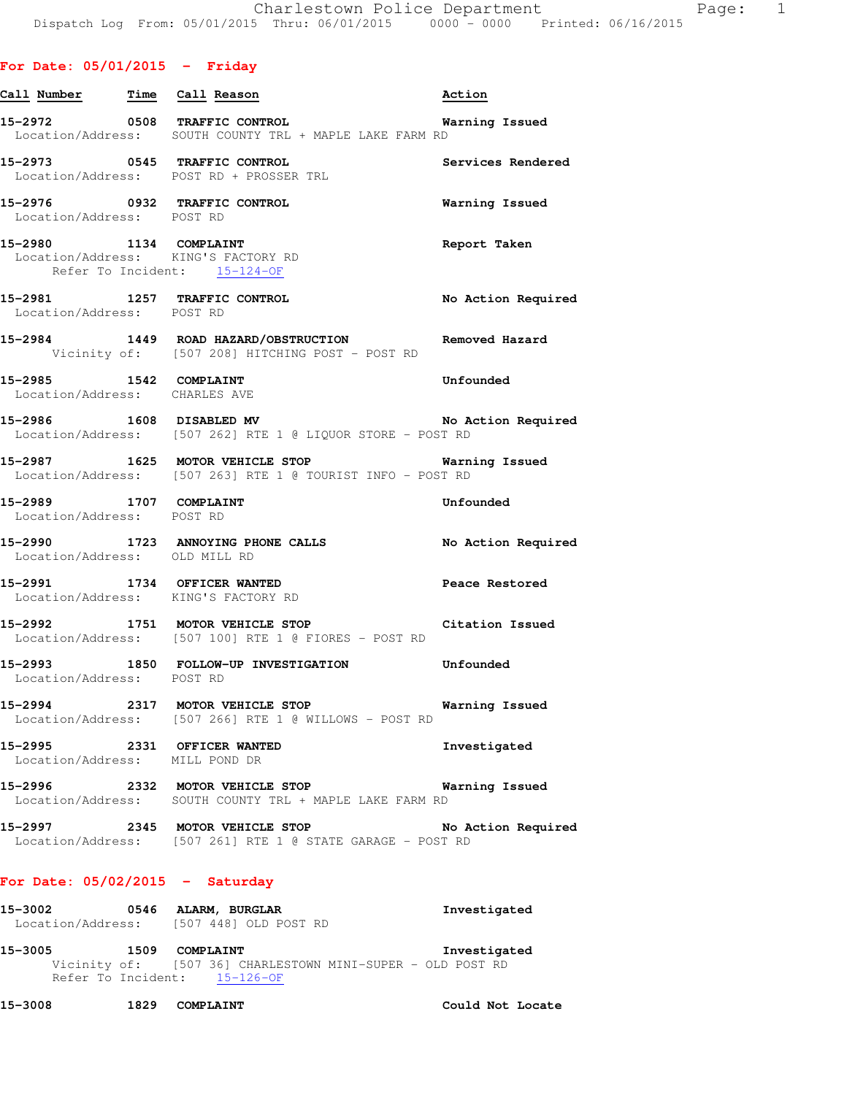| Call Number Time Call Reason | Action                                                                                                                                                                                                                                                                                                                                                                                                                                                                                                                                                                                                                                                                                                                                                                                                                                                                                                                                                                                                                                                                                                                                                                                                                                                                                                                                                                                                                                                                                                                                                                                                |
|------------------------------|-------------------------------------------------------------------------------------------------------------------------------------------------------------------------------------------------------------------------------------------------------------------------------------------------------------------------------------------------------------------------------------------------------------------------------------------------------------------------------------------------------------------------------------------------------------------------------------------------------------------------------------------------------------------------------------------------------------------------------------------------------------------------------------------------------------------------------------------------------------------------------------------------------------------------------------------------------------------------------------------------------------------------------------------------------------------------------------------------------------------------------------------------------------------------------------------------------------------------------------------------------------------------------------------------------------------------------------------------------------------------------------------------------------------------------------------------------------------------------------------------------------------------------------------------------------------------------------------------------|
|                              |                                                                                                                                                                                                                                                                                                                                                                                                                                                                                                                                                                                                                                                                                                                                                                                                                                                                                                                                                                                                                                                                                                                                                                                                                                                                                                                                                                                                                                                                                                                                                                                                       |
|                              | <b>Services Rendered</b>                                                                                                                                                                                                                                                                                                                                                                                                                                                                                                                                                                                                                                                                                                                                                                                                                                                                                                                                                                                                                                                                                                                                                                                                                                                                                                                                                                                                                                                                                                                                                                              |
|                              | <b>Warning Issued</b>                                                                                                                                                                                                                                                                                                                                                                                                                                                                                                                                                                                                                                                                                                                                                                                                                                                                                                                                                                                                                                                                                                                                                                                                                                                                                                                                                                                                                                                                                                                                                                                 |
|                              | Report Taken                                                                                                                                                                                                                                                                                                                                                                                                                                                                                                                                                                                                                                                                                                                                                                                                                                                                                                                                                                                                                                                                                                                                                                                                                                                                                                                                                                                                                                                                                                                                                                                          |
|                              | No Action Required                                                                                                                                                                                                                                                                                                                                                                                                                                                                                                                                                                                                                                                                                                                                                                                                                                                                                                                                                                                                                                                                                                                                                                                                                                                                                                                                                                                                                                                                                                                                                                                    |
|                              |                                                                                                                                                                                                                                                                                                                                                                                                                                                                                                                                                                                                                                                                                                                                                                                                                                                                                                                                                                                                                                                                                                                                                                                                                                                                                                                                                                                                                                                                                                                                                                                                       |
|                              | Unfounded                                                                                                                                                                                                                                                                                                                                                                                                                                                                                                                                                                                                                                                                                                                                                                                                                                                                                                                                                                                                                                                                                                                                                                                                                                                                                                                                                                                                                                                                                                                                                                                             |
|                              |                                                                                                                                                                                                                                                                                                                                                                                                                                                                                                                                                                                                                                                                                                                                                                                                                                                                                                                                                                                                                                                                                                                                                                                                                                                                                                                                                                                                                                                                                                                                                                                                       |
|                              |                                                                                                                                                                                                                                                                                                                                                                                                                                                                                                                                                                                                                                                                                                                                                                                                                                                                                                                                                                                                                                                                                                                                                                                                                                                                                                                                                                                                                                                                                                                                                                                                       |
|                              | Unfounded                                                                                                                                                                                                                                                                                                                                                                                                                                                                                                                                                                                                                                                                                                                                                                                                                                                                                                                                                                                                                                                                                                                                                                                                                                                                                                                                                                                                                                                                                                                                                                                             |
|                              |                                                                                                                                                                                                                                                                                                                                                                                                                                                                                                                                                                                                                                                                                                                                                                                                                                                                                                                                                                                                                                                                                                                                                                                                                                                                                                                                                                                                                                                                                                                                                                                                       |
|                              | Peace Restored                                                                                                                                                                                                                                                                                                                                                                                                                                                                                                                                                                                                                                                                                                                                                                                                                                                                                                                                                                                                                                                                                                                                                                                                                                                                                                                                                                                                                                                                                                                                                                                        |
|                              | Citation Issued                                                                                                                                                                                                                                                                                                                                                                                                                                                                                                                                                                                                                                                                                                                                                                                                                                                                                                                                                                                                                                                                                                                                                                                                                                                                                                                                                                                                                                                                                                                                                                                       |
|                              |                                                                                                                                                                                                                                                                                                                                                                                                                                                                                                                                                                                                                                                                                                                                                                                                                                                                                                                                                                                                                                                                                                                                                                                                                                                                                                                                                                                                                                                                                                                                                                                                       |
|                              |                                                                                                                                                                                                                                                                                                                                                                                                                                                                                                                                                                                                                                                                                                                                                                                                                                                                                                                                                                                                                                                                                                                                                                                                                                                                                                                                                                                                                                                                                                                                                                                                       |
|                              | Investigated                                                                                                                                                                                                                                                                                                                                                                                                                                                                                                                                                                                                                                                                                                                                                                                                                                                                                                                                                                                                                                                                                                                                                                                                                                                                                                                                                                                                                                                                                                                                                                                          |
|                              | Warning Issued                                                                                                                                                                                                                                                                                                                                                                                                                                                                                                                                                                                                                                                                                                                                                                                                                                                                                                                                                                                                                                                                                                                                                                                                                                                                                                                                                                                                                                                                                                                                                                                        |
|                              | No Action Required                                                                                                                                                                                                                                                                                                                                                                                                                                                                                                                                                                                                                                                                                                                                                                                                                                                                                                                                                                                                                                                                                                                                                                                                                                                                                                                                                                                                                                                                                                                                                                                    |
|                              | 15-2972 0508 TRAFFIC CONTROL 15-2972 Warning Issued<br>Location/Address: SOUTH COUNTY TRL + MAPLE LAKE FARM RD<br>15-2973 0545 TRAFFIC CONTROL<br>Location/Address: POST RD + PROSSER TRL<br>15-2976 0932 TRAFFIC CONTROL<br>Location/Address: POST RD<br>15-2980 1134 COMPLAINT<br>Location/Address: KING'S FACTORY RD<br>Refer To Incident: 15-124-OF<br>15-2981 1257 TRAFFIC CONTROL<br>Location/Address: POST RD<br>15-2984 1449 ROAD HAZARD/OBSTRUCTION Removed Hazard<br>Vicinity of: [507 208] HITCHING POST - POST RD<br>15-2985 1542 COMPLAINT<br>Location/Address: CHARLES AVE<br>15-2986 1608 DISABLED MV No Action Required<br>Location/Address: [507 262] RTE 1 @ LIQUOR STORE - POST RD<br>15-2987 1625 MOTOR VEHICLE STOP 15 Warning Issued<br>Location/Address: [507 263] RTE 1 @ TOURIST INFO - POST RD<br>15-2989 1707 COMPLAINT<br>Location/Address: POST RD<br>15-2990 1723 ANNOYING PHONE CALLS No Action Required<br>Location/Address: OLD MILL RD<br>15-2991 1734 OFFICER WANTED<br>Location/Address: KING'S FACTORY RD<br>15-2992 1751 MOTOR VEHICLE STOP<br>Location/Address: [507 100] RTE 1 @ FIORES - POST RD<br>15-2993 1850 FOLLOW-UP INVESTIGATION Unfounded<br>Location/Address: POST RD<br>15-2994 2317 MOTOR VEHICLE STOP 6 Warning Issued<br>Location/Address: [507 266] RTE 1 @ WILLOWS - POST RD<br>15-2995 2331 OFFICER WANTED<br>Location/Address: MILL POND DR<br>15-2996 2332 MOTOR VEHICLE STOP<br>Location/Address: SOUTH COUNTY TRL + MAPLE LAKE FARM RD<br>15-2997 2345 MOTOR VEHICLE STOP<br>Location/Address: [507 261] RTE 1 @ STATE GARAGE - POST RD |

### **For Date: 05/02/2015 - Saturday**

| 15-3002           | 0546 ALARM, BURGLAR   | Investigated |
|-------------------|-----------------------|--------------|
| Location/Address: | [507 448] OLD POST RD |              |

**15-3005 1509 COMPLAINT Investigated**  Vicinity of: [507 36] CHARLESTOWN MINI-SUPER - OLD POST RD Refer To Incident: 15-126-OF

**15-3008 1829 COMPLAINT Could Not Locate**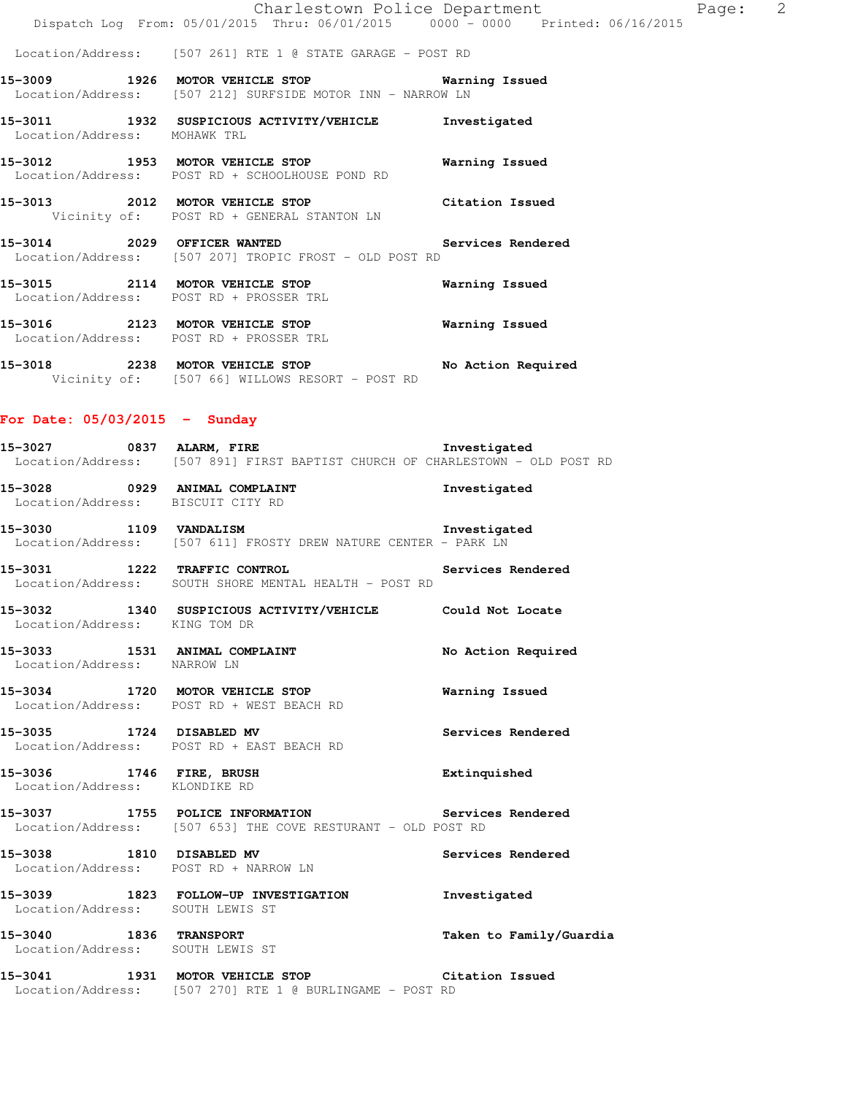Location/Address: [507 261] RTE 1 @ STATE GARAGE - POST RD

**15-3009 1926 MOTOR VEHICLE STOP Warning Issued**  Location/Address: [507 212] SURFSIDE MOTOR INN - NARROW LN

**15-3011 1932 SUSPICIOUS ACTIVITY/VEHICLE Investigated**  Location/Address: MOHAWK TRL

**15-3012 1953 MOTOR VEHICLE STOP Warning Issued**  Location/Address: POST RD + SCHOOLHOUSE POND RD

**15-3013 2012 MOTOR VEHICLE STOP Citation Issued**  Vicinity of: POST RD + GENERAL STANTON LN

**15-3014 2029 OFFICER WANTED Services Rendered**  Location/Address: [507 207] TROPIC FROST - OLD POST RD

**15-3015 2114 MOTOR VEHICLE STOP Warning Issued**  Location/Address: POST RD + PROSSER TRL **15-3016 2123 MOTOR VEHICLE STOP Warning Issued** 

Location/Address: POST RD + PROSSER TRL

**15-3018 2238 MOTOR VEHICLE STOP No Action Required**  Vicinity of: [507 66] WILLOWS RESORT - POST RD

# **For Date: 05/03/2015 - Sunday**

| 15-3028           | 0929 | ANIMAL COMPLAINT                                            |  | Investigated |  |  |
|-------------------|------|-------------------------------------------------------------|--|--------------|--|--|
| Location/Address: |      | [507 891] FIRST BAPTIST CHURCH OF CHARLESTOWN - OLD POST RD |  |              |  |  |
| 15-3027           | 0837 | <b>ALARM, FIRE</b>                                          |  | Investigated |  |  |

Location/Address: BISCUIT CITY RD

**15-3030 1109 VANDALISM Investigated**  Location/Address: [507 611] FROSTY DREW NATURE CENTER - PARK LN

**15-3031 1222 TRAFFIC CONTROL Services Rendered**  Location/Address: SOUTH SHORE MENTAL HEALTH - POST RD

**15-3032 1340 SUSPICIOUS ACTIVITY/VEHICLE Could Not Locate**  Location/Address: KING TOM DR

15-3033 1531 ANIMAL COMPLAINT **No Action Required** Location/Address: NARROW LN

**15-3034 1720 MOTOR VEHICLE STOP Warning Issued**  Location/Address: POST RD + WEST BEACH RD

**15-3035 1724 DISABLED MV Services Rendered**  Location/Address: POST RD + EAST BEACH RD

**15-3036 1746 FIRE, BRUSH Extinquished**  Location/Address: KLONDIKE RD

**15-3037 1755 POLICE INFORMATION Services Rendered**  Location/Address: [507 653] THE COVE RESTURANT - OLD POST RD

**15-3038 1810 DISABLED MV Services Rendered**  Location/Address: POST RD + NARROW LN

**15-3039 1823 FOLLOW-UP INVESTIGATION Investigated**  Location/Address: SOUTH LEWIS ST

Location/Address: SOUTH LEWIS ST

**15-3040 1836 TRANSPORT Taken to Family/Guardia** 

**15-3041 1931 MOTOR VEHICLE STOP Citation Issued**  Location/Address: [507 270] RTE 1 @ BURLINGAME - POST RD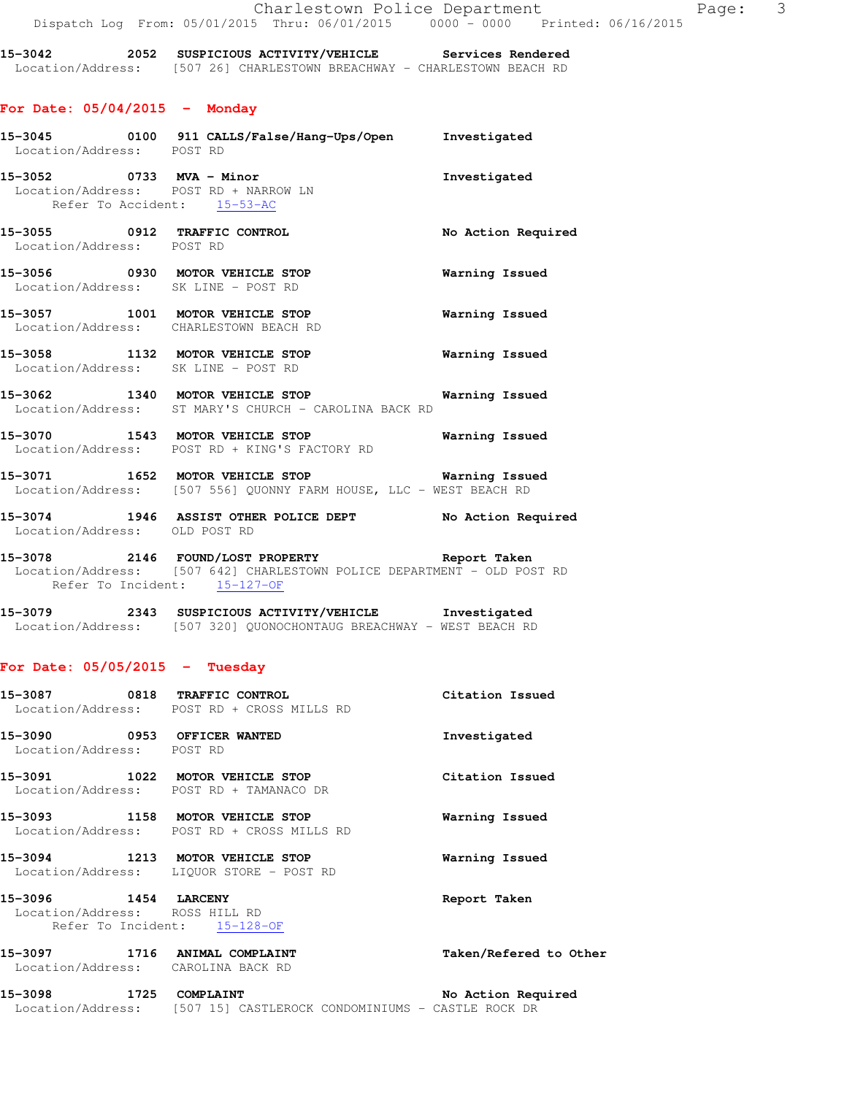**15-3042 2052 SUSPICIOUS ACTIVITY/VEHICLE Services Rendered**  Location/Address: [507 26] CHARLESTOWN BREACHWAY - CHARLESTOWN BEACH RD

### **For Date: 05/04/2015 - Monday**

| Location/Address: POST RD     | 15-3045   0100   911 CALLS/False/Hang-Ups/Open   Investigated                                                                                            |                       |
|-------------------------------|----------------------------------------------------------------------------------------------------------------------------------------------------------|-----------------------|
| Refer To Accident: 15-53-AC   | 15-3052 0733 MVA - Minor<br>Location/Address: POST RD + NARROW LN                                                                                        | Investigated          |
| Location/Address: POST RD     | 15-3055 0912 TRAFFIC CONTROL                                                                                                                             | No Action Required    |
|                               | 15-3056 0930 MOTOR VEHICLE STOP<br>Location/Address: SK LINE - POST RD                                                                                   | <b>Warning Issued</b> |
|                               | 15-3057 1001 MOTOR VEHICLE STOP<br>Location/Address: CHARLESTOWN BEACH RD                                                                                | Warning Issued        |
|                               | 15-3058 1132 MOTOR VEHICLE STOP<br>Location/Address: SK LINE - POST RD                                                                                   | Warning Issued        |
|                               | 15-3062 1340 MOTOR VEHICLE STOP <b>Warning Issued</b><br>Location/Address: ST MARY'S CHURCH - CAROLINA BACK RD                                           |                       |
|                               | 15-3070 1543 MOTOR VEHICLE STOP 6 Warning Issued<br>Location/Address: POST RD + KING'S FACTORY RD                                                        |                       |
|                               | 15-3071 1652 MOTOR VEHICLE STOP 15 Warning Issued<br>Location/Address: [507 556] QUONNY FARM HOUSE, LLC - WEST BEACH RD                                  |                       |
| Location/Address: OLD POST RD | 15-3074 1946 ASSIST OTHER POLICE DEPT No Action Required                                                                                                 |                       |
|                               | 15-3078 2146 FOUND/LOST PROPERTY Report Taken<br>Location/Address: [507 642] CHARLESTOWN POLICE DEPARTMENT - OLD POST RD<br>Refer To Incident: 15-127-OF |                       |

**15-3079 2343 SUSPICIOUS ACTIVITY/VEHICLE Investigated**  Location/Address: [507 320] QUONOCHONTAUG BREACHWAY - WEST BEACH RD

### **For Date: 05/05/2015 - Tuesday**

| 15-3087 0818 TRAFFIC CONTROL                                        | Location/Address: POST RD + CROSS MILLS RD | Citation Issued        |
|---------------------------------------------------------------------|--------------------------------------------|------------------------|
| 15-3090 0953 OFFICER WANTED<br>Location/Address: POST RD            |                                            | Investigated           |
| 15-3091 1022 MOTOR VEHICLE STOP                                     | Location/Address: POST RD + TAMANACO DR    | Citation Issued        |
| 15-3093 1158 MOTOR VEHICLE STOP                                     | Location/Address: POST RD + CROSS MILLS RD | Warning Issued         |
| 15-3094 1213 MOTOR VEHICLE STOP                                     | Location/Address: LIQUOR STORE - POST RD   | Warning Issued         |
| Location/Address: ROSS HILL RD                                      | Refer To Incident: 15-128-OF               | Report Taken           |
| 15-3097 1716 ANIMAL COMPLAINT<br>Location/Address: CAROLINA BACK RD |                                            | Taken/Refered to Other |
| 15-3098<br>1725                                                     | COMPLAINT                                  | No Action Required     |

Location/Address: [507 15] CASTLEROCK CONDOMINIUMS - CASTLE ROCK DR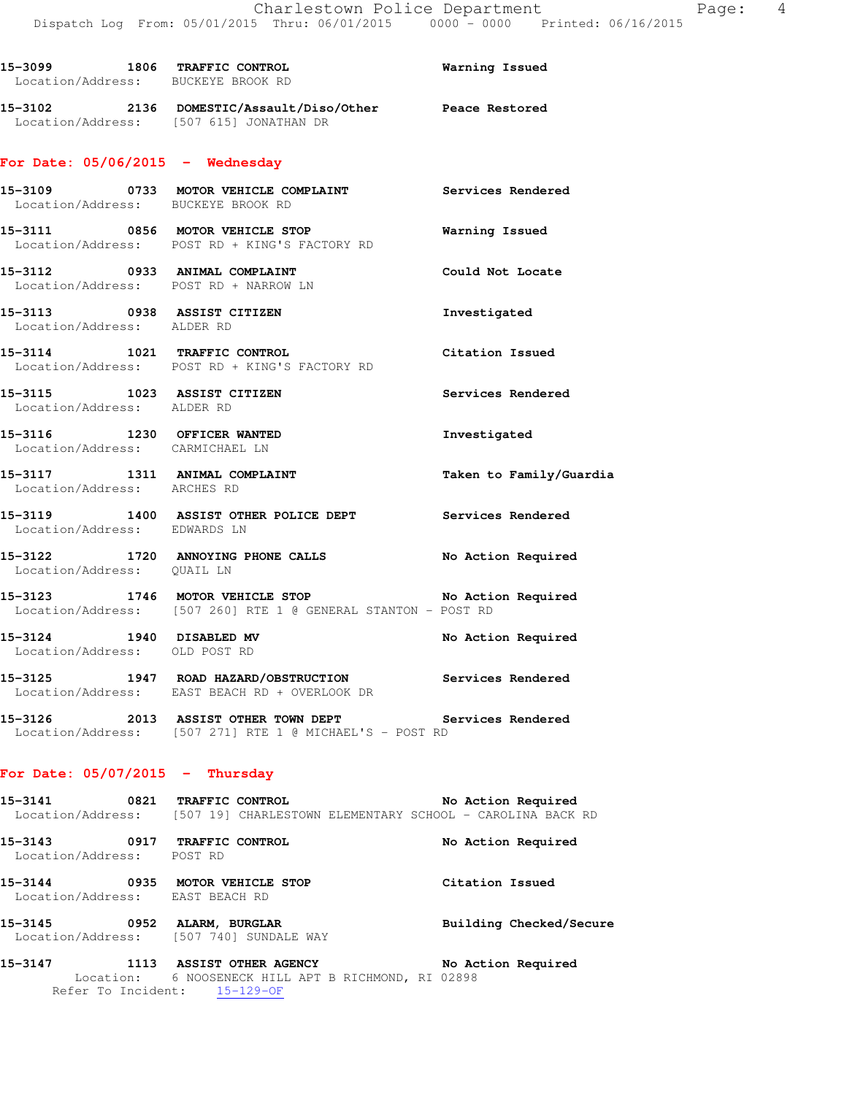| Location/Address: BUCKEYE BROOK RD                                     | 15-3099 1806 TRAFFIC CONTROL 15-3099 Warning Issued                                                                 |                         |
|------------------------------------------------------------------------|---------------------------------------------------------------------------------------------------------------------|-------------------------|
| Location/Address: [507 615] JONATHAN DR                                | 15-3102 2136 DOMESTIC/Assault/Diso/Other Peace Restored                                                             |                         |
| For Date: $05/06/2015$ - Wednesday                                     |                                                                                                                     |                         |
| Location/Address: BUCKEYE BROOK RD                                     | 15-3109 0733 MOTOR VEHICLE COMPLAINT Services Rendered                                                              |                         |
|                                                                        | 15-3111 0856 MOTOR VEHICLE STOP<br>Location/Address: POST RD + KING'S FACTORY RD                                    | <b>Warning Issued</b>   |
| 15-3112 0933 ANIMAL COMPLAINT<br>Location/Address: POST RD + NARROW LN |                                                                                                                     | Could Not Locate        |
| 15-3113 0938 ASSIST CITIZEN<br>Location/Address: ALDER RD              |                                                                                                                     | Investigated            |
|                                                                        | 15-3114 1021 TRAFFIC CONTROL<br>Location/Address: POST RD + KING'S FACTORY RD                                       | Citation Issued         |
| 15-3115 1023 ASSIST CITIZEN<br>Location/Address: ALDER RD              |                                                                                                                     | Services Rendered       |
| 15-3116 1230 OFFICER WANTED<br>Location/Address: CARMICHAEL LN         |                                                                                                                     | Investigated            |
| Location/Address: ARCHES RD                                            | 15-3117 1311 ANIMAL COMPLAINT                                                                                       | Taken to Family/Guardia |
| Location/Address: EDWARDS LN                                           | 15-3119 1400 ASSIST OTHER POLICE DEPT Services Rendered                                                             |                         |
| Location/Address: QUAIL LN                                             | 15-3122 1720 ANNOYING PHONE CALLS No Action Required                                                                |                         |
|                                                                        | 15-3123 1746 MOTOR VEHICLE STOP No Action Required<br>Location/Address: [507 260] RTE 1 @ GENERAL STANTON - POST RD |                         |
| 15-3124 1940 DISABLED MV<br>Location/Address: OLD POST RD              |                                                                                                                     | No Action Required      |
|                                                                        | 15-3125 1947 ROAD HAZARD/OBSTRUCTION<br>Location/Address: EAST BEACH RD + OVERLOOK DR                               | Services Rendered       |
|                                                                        | 15-3126 2013 ASSIST OTHER TOWN DEPT<br>Location/Address: [507 271] RTE 1 @ MICHAEL'S - POST RD                      | Services Rendered       |
| For Date: $05/07/2015$ - Thursday                                      |                                                                                                                     |                         |
|                                                                        | 15-3141 0821 TRAFFIC CONTROL<br>Location/Address: [507 19] CHARLESTOWN ELEMENTARY SCHOOL - CAROLINA BACK RD         | No Action Required      |

**15-3143 0917 TRAFFIC CONTROL No Action Required**  Location/Address: POST RD **15-3144 0935 MOTOR VEHICLE STOP Citation Issued**  Location/Address: EAST BEACH RD

**15-3145 0952 ALARM, BURGLAR Building Checked/Secure**  Location/Address: [507 740] SUNDALE WAY

**15-3147 1113 ASSIST OTHER AGENCY No Action Required**  Location: 6 NOOSENECK HILL APT B RICHMOND, RI 02898 Refer To Incident: 15-129-OF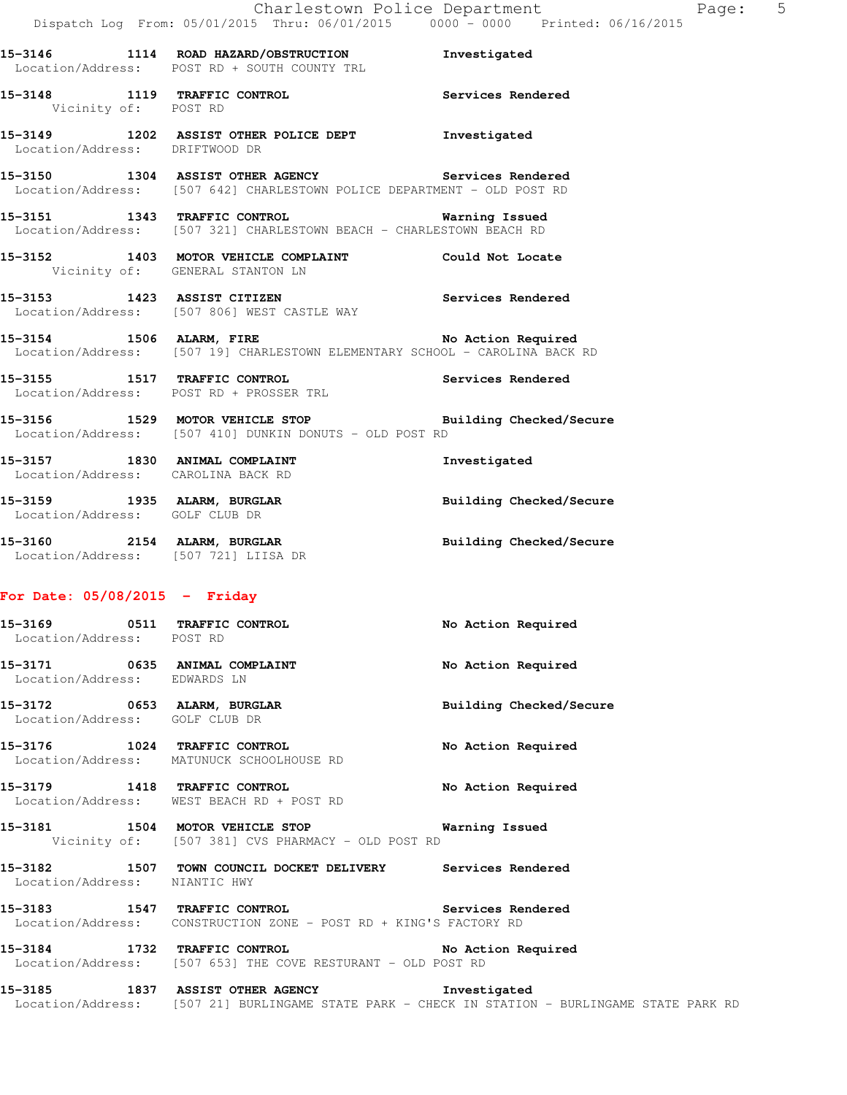|                                      | 15-3146 1114 ROAD HAZARD/OBSTRUCTION Investigated<br>Location/Address: POST RD + SOUTH COUNTY TRL                                    |                                |
|--------------------------------------|--------------------------------------------------------------------------------------------------------------------------------------|--------------------------------|
|                                      | 15-3148 1119 TRAFFIC CONTROL Services Rendered Vicinity of: POST RD                                                                  |                                |
| Location/Address: DRIFTWOOD DR       | 15-3149 1202 ASSIST OTHER POLICE DEPT Threstigated                                                                                   |                                |
|                                      | 15-3150 1304 ASSIST OTHER AGENCY Services Rendered<br>Location/Address: [507 642] CHARLESTOWN POLICE DEPARTMENT - OLD POST RD        |                                |
|                                      | 15-3151 1343 TRAFFIC CONTROL<br>Location/Address: [507 321] CHARLESTOWN BEACH - CHARLESTOWN BEACH RD                                 | <b>Warning Issued</b>          |
| Vicinity of: GENERAL STANTON LN      | 15-3152 1403 MOTOR VEHICLE COMPLAINT Could Not Locate                                                                                |                                |
|                                      | 15-3153 1423 ASSIST CITIZEN<br>Location/Address: [507 806] WEST CASTLE WAY                                                           | Services Rendered              |
|                                      | 15-3154 1506 ALARM, FIRE 1991 1991 No Action Required<br>Location/Address: [507 19] CHARLESTOWN ELEMENTARY SCHOOL - CAROLINA BACK RD |                                |
|                                      | 15-3155 1517 TRAFFIC CONTROL 150 Services Rendered<br>Location/Address: POST RD + PROSSER TRL                                        |                                |
|                                      | 15-3156 1529 MOTOR VEHICLE STOP 1990 Building Checked/Secure<br>Location/Address: [507 410] DUNKIN DONUTS - OLD POST RD              |                                |
| Location/Address: CAROLINA BACK RD   | 15-3157 1830 ANIMAL COMPLAINT                                                                                                        | Investigated                   |
| Location/Address: GOLF CLUB DR       | 15-3159 1935 ALARM, BURGLAR                                                                                                          | Building Checked/Secure        |
| Location/Address: [507 721] LIISA DR | 15-3160 2154 ALARM, BURGLAR                                                                                                          | <b>Building Checked/Secure</b> |
| For Date: $05/08/2015$ - Friday      |                                                                                                                                      |                                |

| 15-3169 0511 TRAFFIC CONTROL<br>Location/Address: POST RD     |                                                                                                                         | No Action Required      |
|---------------------------------------------------------------|-------------------------------------------------------------------------------------------------------------------------|-------------------------|
| 15-3171 0635 ANIMAL COMPLAINT<br>Location/Address: EDWARDS LN |                                                                                                                         | No Action Required      |
| 15-3172 0653 ALARM, BURGLAR<br>Location/Address: GOLF CLUB DR |                                                                                                                         | Building Checked/Secure |
| 15-3176 1024 TRAFFIC CONTROL                                  | Location/Address: MATUNUCK SCHOOLHOUSE RD                                                                               | No Action Required      |
| 15-3179 1418 TRAFFIC CONTROL                                  | Location/Address: WEST BEACH RD + POST RD                                                                               | No Action Required      |
|                                                               | 15-3181 1504 MOTOR VEHICLE STOP 6 Warning Issued<br>Vicinity of: [507 381] CVS PHARMACY - OLD POST RD                   |                         |
| Location/Address: NIANTIC HWY                                 | 15-3182 1507 TOWN COUNCIL DOCKET DELIVERY Services Rendered                                                             |                         |
|                                                               | 15-3183 1547 TRAFFIC CONTROL 150 Services Rendered<br>Location/Address: CONSTRUCTION ZONE - POST RD + KING'S FACTORY RD |                         |
|                                                               | 15-3184 1732 TRAFFIC CONTROL No Action Required<br>Location/Address: [507 653] THE COVE RESTURANT - OLD POST RD         |                         |

**15-3185 1837 ASSIST OTHER AGENCY Investigated**  Location/Address: [507 21] BURLINGAME STATE PARK - CHECK IN STATION - BURLINGAME STATE PARK RD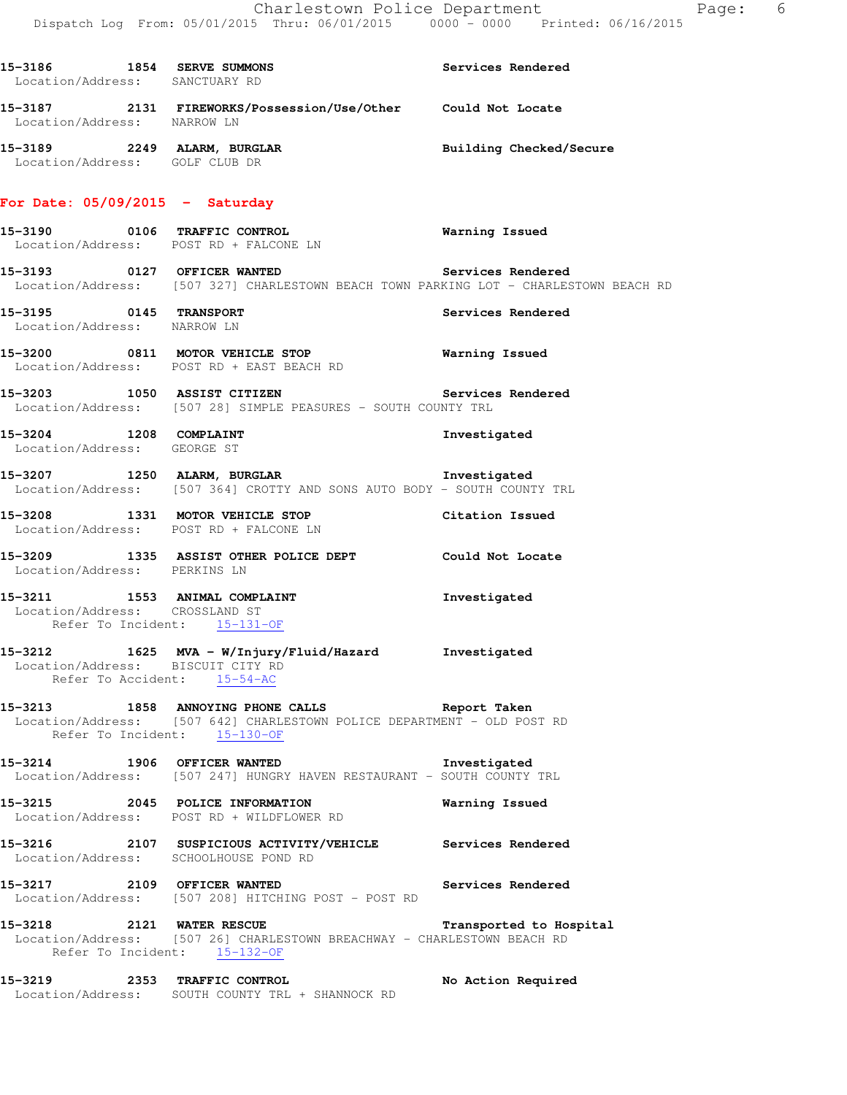| 15-3186 1854 SERVE SUMMONS<br>Location/Address: SANCTUARY RD |                                                                                                                                                           | Services Rendered       |
|--------------------------------------------------------------|-----------------------------------------------------------------------------------------------------------------------------------------------------------|-------------------------|
| Location/Address: NARROW LN                                  | 15-3187 2131 FIREWORKS/Possession/Use/Other Could Not Locate                                                                                              |                         |
| Location/Address: GOLF CLUB DR                               | 15-3189 2249 ALARM, BURGLAR BUNG Building Checked/Secure                                                                                                  |                         |
| For Date: $05/09/2015$ - Saturday                            |                                                                                                                                                           |                         |
|                                                              | 15-3190 0106 TRAFFIC CONTROL CONTROL Warning Issued<br>Location/Address: POST RD + FALCONE LN                                                             |                         |
|                                                              | 15-3193 0127 OFFICER WANTED<br>Location/Address: [507 327] CHARLESTOWN BEACH TOWN PARKING LOT - CHARLESTOWN BEACH RD                                      | Services Rendered       |
| Location/Address: NARROW LN                                  | 15-3195 0145 TRANSPORT                                                                                                                                    | Services Rendered       |
|                                                              | 15-3200 0811 MOTOR VEHICLE STOP <b>Warning Issued</b><br>Location/Address: POST RD + EAST BEACH RD                                                        |                         |
|                                                              | 15-3203 1050 ASSIST CITIZEN Services Rendered<br>Location/Address: [507 28] SIMPLE PEASURES - SOUTH COUNTY TRL                                            |                         |
| 15-3204 1208 COMPLAINT<br>Location/Address: GEORGE ST        |                                                                                                                                                           | Investigated            |
|                                                              | 15-3207 1250 ALARM, BURGLAR INDEEDING The Same of the Seation (Address: [507 364] CROTTY AND SONS AUTO BODY - SOUTH COUNTY TRL                            |                         |
|                                                              | 15-3208 1331 MOTOR VEHICLE STOP 6 Citation Issued<br>Location/Address: POST RD + FALCONE LN                                                               |                         |
| Location/Address: PERKINS LN                                 | 15-3209 1335 ASSIST OTHER POLICE DEPT Could Not Locate                                                                                                    |                         |
|                                                              | 15-3211 1553 ANIMAL COMPLAINT<br>Location/Address: CROSSLAND ST<br>Refer To Incident: 15-131-OF                                                           | Investigated            |
| Location/Address: BISCUIT CITY RD                            | 15-3212 1625 MVA - W/Injury/Fluid/Hazard Investigated<br>Refer To Accident: 15-54-AC                                                                      |                         |
|                                                              | 15-3213 1858 ANNOYING PHONE CALLS Report Taken<br>Location/Address: [507 642] CHARLESTOWN POLICE DEPARTMENT - OLD POST RD<br>Refer To Incident: 15-130-OF |                         |
|                                                              | 15-3214 1906 OFFICER WANTED<br>Location/Address: [507 247] HUNGRY HAVEN RESTAURANT - SOUTH COUNTY TRL                                                     | Investigated            |
|                                                              | 15-3215 2045 POLICE INFORMATION<br>Location/Address: POST RD + WILDFLOWER RD                                                                              | Warning Issued          |
|                                                              | 15-3216 2107 SUSPICIOUS ACTIVITY/VEHICLE Services Rendered<br>Location/Address: SCHOOLHOUSE POND RD                                                       |                         |
| 15-3217 2109 OFFICER WANTED                                  | Services Rendered<br>Location/Address: [507 208] HITCHING POST - POST RD                                                                                  |                         |
| 15-3218 2121 WATER RESCUE                                    | Location/Address: [507 26] CHARLESTOWN BREACHWAY - CHARLESTOWN BEACH RD<br>Refer To Incident: 15-132-OF                                                   | Transported to Hospital |
|                                                              | 15-3219 2353 TRAFFIC CONTROL<br>Location/Address: SOUTH COUNTY TRL + SHANNOCK RD                                                                          | No Action Required      |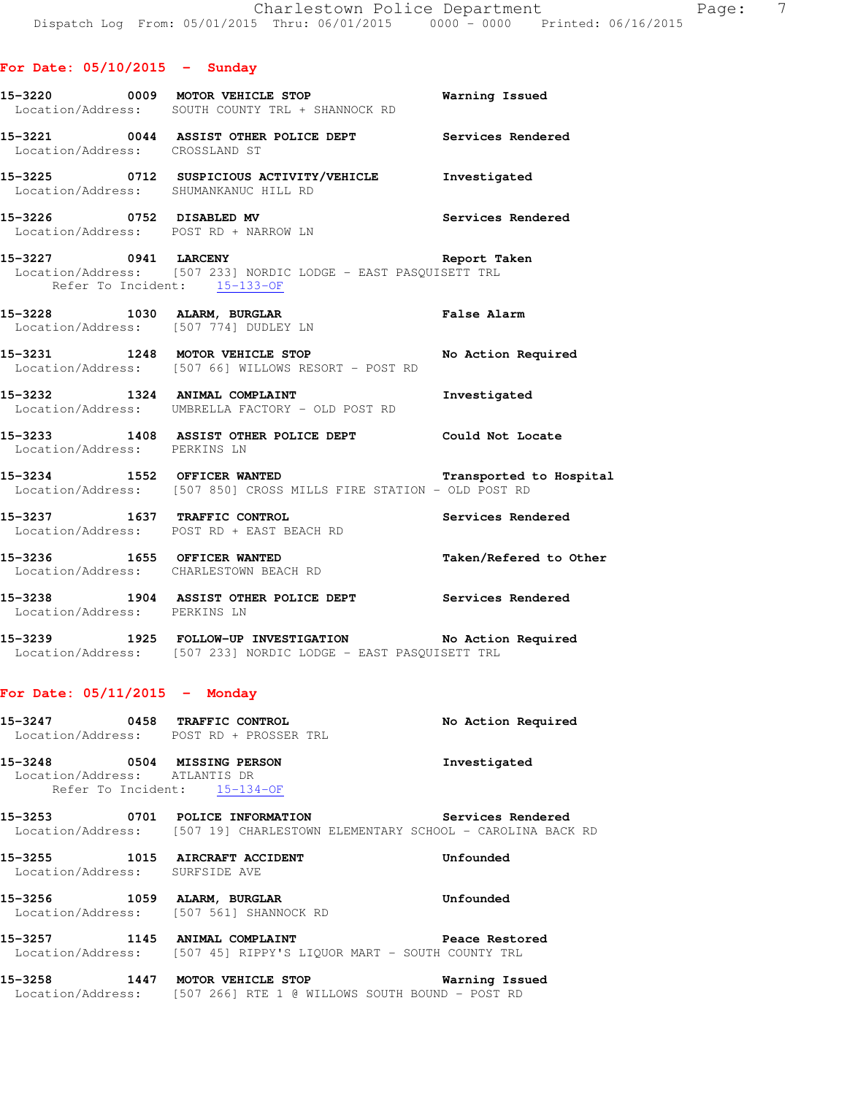|  |  | For Date: 05/10/2015 |  | Sunday |  |
|--|--|----------------------|--|--------|--|
|--|--|----------------------|--|--------|--|

- **15-3220 0009 MOTOR VEHICLE STOP Warning Issued**  Location/Address: SOUTH COUNTY TRL + SHANNOCK RD **15-3221 0044 ASSIST OTHER POLICE DEPT Services Rendered**  Location/Address: CROSSLAND ST **15-3225 0712 SUSPICIOUS ACTIVITY/VEHICLE Investigated**  Location/Address: SHUMANKANUC HILL RD **15-3226 0752 DISABLED MV Services Rendered**  Location/Address: POST RD + NARROW LN **15-3227 0941 LARCENY Report Taken**  Location/Address: [507 233] NORDIC LODGE - EAST PASQUISETT TRL Refer To Incident: 15-133-OF **15-3228 1030 ALARM, BURGLAR False Alarm**  Location/Address: [507 774] DUDLEY LN **15-3231 1248 MOTOR VEHICLE STOP No Action Required**  Location/Address: [507 66] WILLOWS RESORT - POST RD **15-3232 1324 ANIMAL COMPLAINT Investigated**  Location/Address: UMBRELLA FACTORY - OLD POST RD
- **15-3233 1408 ASSIST OTHER POLICE DEPT Could Not Locate**  Location/Address: PERKINS LN
- **15-3234 1552 OFFICER WANTED Transported to Hospital**  Location/Address: [507 850] CROSS MILLS FIRE STATION - OLD POST RD
- **15-3237 1637 TRAFFIC CONTROL Services Rendered**  Location/Address: POST RD + EAST BEACH RD
- **15-3236 1655 OFFICER WANTED Taken/Refered to Other**  Location/Address: CHARLESTOWN BEACH RD
- **15-3238 1904 ASSIST OTHER POLICE DEPT Services Rendered**  Location/Address: PERKINS LN
- **15-3239 1925 FOLLOW-UP INVESTIGATION No Action Required**  Location/Address: [507 233] NORDIC LODGE - EAST PASQUISETT TRL

### **For Date: 05/11/2015 - Monday**

- **15-3247 0458 TRAFFIC CONTROL No Action Required**  Location/Address: POST RD + PROSSER TRL **15-3248 0504 MISSING PERSON Investigated**
- Location/Address: ATLANTIS DR Refer To Incident: 15-134-OF
- **15-3253 0701 POLICE INFORMATION Services Rendered**  Location/Address: [507 19] CHARLESTOWN ELEMENTARY SCHOOL - CAROLINA BACK RD
- **15-3255 1015 AIRCRAFT ACCIDENT Unfounded**  Location/Address: SURFSIDE AVE
- **15-3256 1059 ALARM, BURGLAR Unfounded**  Location/Address: [507 561] SHANNOCK RD
- **15-3257 1145 ANIMAL COMPLAINT Peace Restored**  Location/Address: [507 45] RIPPY'S LIQUOR MART - SOUTH COUNTY TRL
- **15-3258 1447 MOTOR VEHICLE STOP Warning Issued**  Location/Address: [507 266] RTE 1 @ WILLOWS SOUTH BOUND - POST RD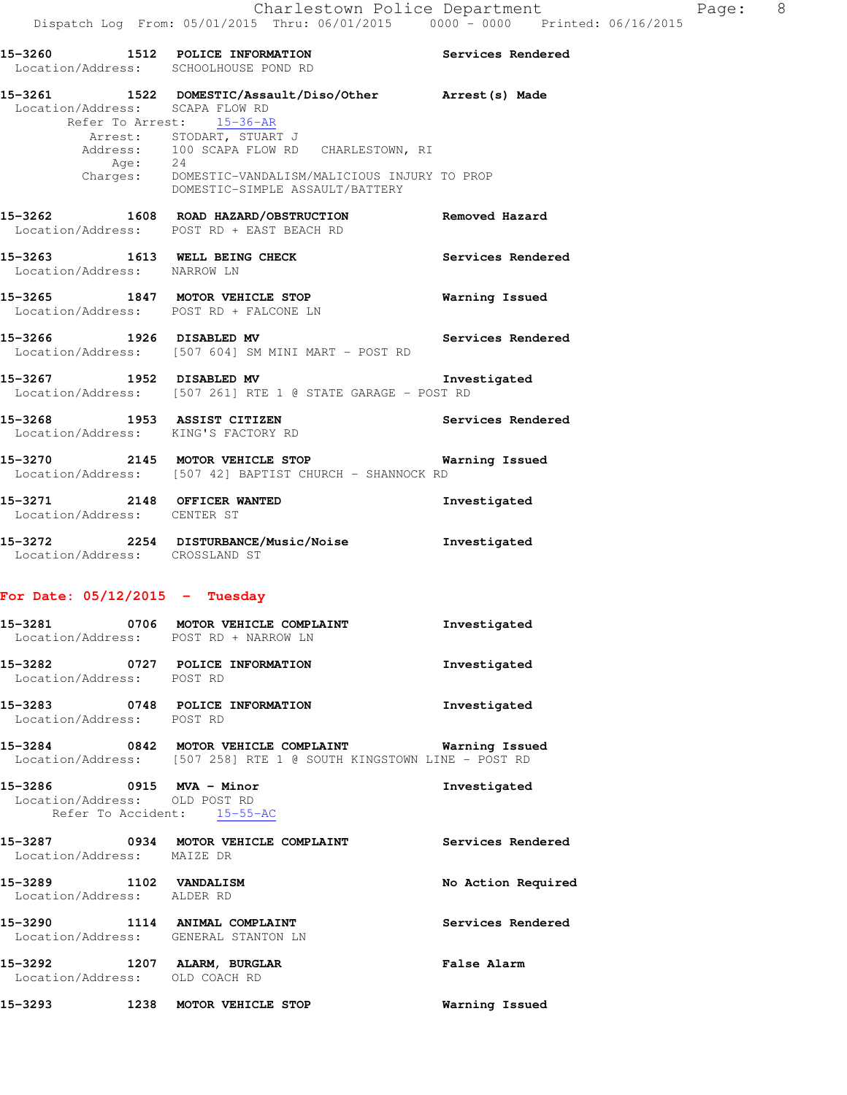|                                            | 15-3260 1512 POLICE INFORMATION<br>Location/Address: SCHOOLHOUSE POND RD                                                                                                                                                                                   | Services Rendered |
|--------------------------------------------|------------------------------------------------------------------------------------------------------------------------------------------------------------------------------------------------------------------------------------------------------------|-------------------|
| Location/Address: SCAPA FLOW RD<br>Aqe: 24 | 15-3261 1522 DOMESTIC/Assault/Diso/Other Arrest(s) Made<br>Refer To Arrest: 15-36-AR<br>Arrest: STODART, STUART J<br>Address: 100 SCAPA FLOW RD CHARLESTOWN, RI<br>Charges: DOMESTIC-VANDALISM/MALICIOUS INJURY TO PROP<br>DOMESTIC-SIMPLE ASSAULT/BATTERY |                   |
|                                            | 15-3262 1608 ROAD HAZARD/OBSTRUCTION Removed Hazard<br>Location/Address: POST RD + EAST BEACH RD                                                                                                                                                           |                   |
| Location/Address: NARROW LN                | 15-3263 1613 WELL BEING CHECK                                                                                                                                                                                                                              | Services Rendered |
|                                            | 15-3265 1847 MOTOR VEHICLE STOP<br>Location/Address: POST RD + FALCONE LN                                                                                                                                                                                  | Warning Issued    |
|                                            | 15-3266 1926 DISABLED MV<br>Location/Address: [507 604] SM MINI MART - POST RD                                                                                                                                                                             | Services Rendered |
|                                            | 15-3267 1952 DISABLED MV<br>Location/Address: [507 261] RTE 1 @ STATE GARAGE - POST RD                                                                                                                                                                     | Investigated      |
| 15-3268 1953 ASSIST CITIZEN                | Location/Address: KING'S FACTORY RD                                                                                                                                                                                                                        | Services Rendered |
|                                            |                                                                                                                                                                                                                                                            |                   |

**15-3270 2145 MOTOR VEHICLE STOP Warning Issued**  Location/Address: [507 42] BAPTIST CHURCH - SHANNOCK RD **15-3271 2148 OFFICER WANTED Investigated** 

**15-3272 2254 DISTURBANCE/Music/Noise Investigated**  Location/Address: CROSSLAND ST

### **For Date: 05/12/2015 - Tuesday**

Location/Address: CENTER ST

|                                                               | 15-3281 0706 MOTOR VEHICLE COMPLAINT<br>Location/Address: POST RD + NARROW LN                                               | Investigated       |
|---------------------------------------------------------------|-----------------------------------------------------------------------------------------------------------------------------|--------------------|
| Location/Address: POST RD                                     | 15-3282 0727 POLICE INFORMATION                                                                                             | Investigated       |
| Location/Address: POST RD                                     | 15-3283 0748 POLICE INFORMATION                                                                                             | Investigated       |
|                                                               | 15-3284 6842 MOTOR VEHICLE COMPLAINT 6 Warning Issued<br>Location/Address: [507 258] RTE 1 @ SOUTH KINGSTOWN LINE - POST RD |                    |
| 15-3286 0915 MVA - Minor<br>Location/Address: OLD POST RD     | Refer To Accident: 15-55-AC                                                                                                 | Investigated       |
| Location/Address: MAIZE DR                                    |                                                                                                                             |                    |
| 15-3289 1102 VANDALISM<br>Location/Address: ALDER RD          |                                                                                                                             | No Action Required |
|                                                               | 15-3290 1114 ANIMAL COMPLAINT<br>Location/Address: GENERAL STANTON LN                                                       | Services Rendered  |
| 15-3292 1207 ALARM, BURGLAR<br>Location/Address: OLD COACH RD |                                                                                                                             | <b>False Alarm</b> |

**15-3293 1238 MOTOR VEHICLE STOP Warning Issued**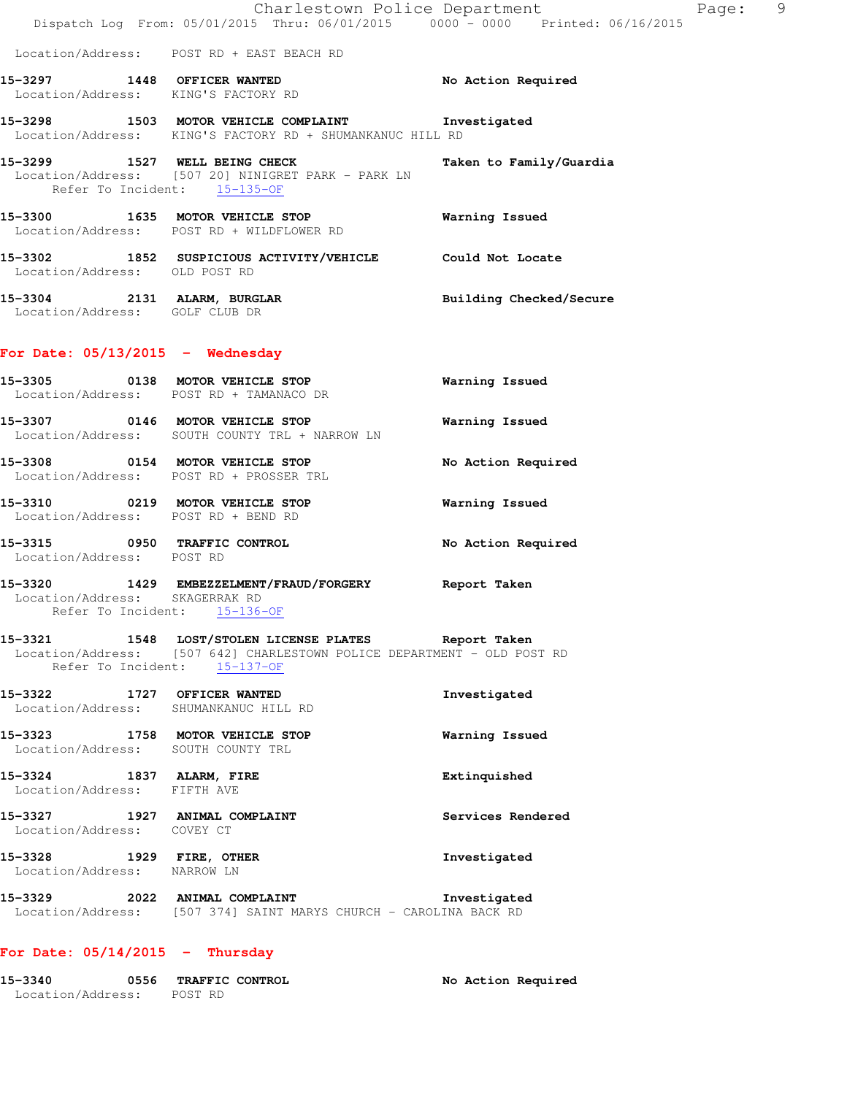|                                                         | Dispatch Log From: 05/01/2015 Thru: 06/01/2015 0000 - 0000 Printed: 06/16/2015                                                                                            | Charlestown Police Department | Page: | 9 |
|---------------------------------------------------------|---------------------------------------------------------------------------------------------------------------------------------------------------------------------------|-------------------------------|-------|---|
|                                                         | Location/Address: POST RD + EAST BEACH RD                                                                                                                                 |                               |       |   |
|                                                         | 15-3297 1448 OFFICER WANTED<br>Location/Address: KING'S FACTORY RD                                                                                                        | No Action Required            |       |   |
|                                                         | 15-3298 1503 MOTOR VEHICLE COMPLAINT 1nvestigated<br>Location/Address: KING'S FACTORY RD + SHUMANKANUC HILL RD                                                            |                               |       |   |
|                                                         | 15-3299 1527 WELL BEING CHECK<br>Location/Address: [507 20] NINIGRET PARK - PARK LN<br>Refer To Incident: 15-135-OF                                                       | Taken to Family/Guardia       |       |   |
|                                                         | 15-3300 1635 MOTOR VEHICLE STOP <b>Warning Issued</b><br>Location/Address: POST RD + WILDFLOWER RD                                                                        |                               |       |   |
|                                                         | 15-3302 1852 SUSPICIOUS ACTIVITY/VEHICLE Could Not Locate Location/Address: OLD POST RD                                                                                   |                               |       |   |
| Location/Address: GOLF CLUB DR                          | 15-3304 2131 ALARM, BURGLAR                                                                                                                                               | Building Checked/Secure       |       |   |
| For Date: $05/13/2015$ - Wednesday                      |                                                                                                                                                                           |                               |       |   |
|                                                         | 15-3305 0138 MOTOR VEHICLE STOP<br>Location/Address: POST RD + TAMANACO DR                                                                                                | Warning Issued                |       |   |
|                                                         | 15-3307 0146 MOTOR VEHICLE STOP<br>Location/Address: SOUTH COUNTY TRL + NARROW LN                                                                                         | Warning Issued                |       |   |
|                                                         | 15-3308 0154 MOTOR VEHICLE STOP<br>Location/Address: POST RD + PROSSER TRL                                                                                                | No Action Required            |       |   |
|                                                         | 15-3310 0219 MOTOR VEHICLE STOP<br>Location/Address: POST RD + BEND RD                                                                                                    | Warning Issued                |       |   |
| Location/Address: POST RD                               | 15-3315 0950 TRAFFIC CONTROL                                                                                                                                              | No Action Required            |       |   |
| Location/Address: SKAGERRAK RD                          | 15-3320 1429 EMBEZZELMENT/FRAUD/FORGERY Report Taken<br>Refer To Incident: 15-136-OF                                                                                      |                               |       |   |
|                                                         | 15-3321 1548 LOST/STOLEN LICENSE PLATES Report Taken<br>Location/Address: [507 642] CHARLESTOWN POLICE DEPARTMENT - OLD POST RD<br>Refer To Incident: 15-137-OF           |                               |       |   |
| 15-3322 1727 OFFICER WANTED                             | Location/Address: SHUMANKANUC HILL RD                                                                                                                                     | Investigated                  |       |   |
|                                                         | 15-3323 1758 MOTOR VEHICLE STOP<br>Location/Address: SOUTH COUNTY TRL                                                                                                     | Warning Issued                |       |   |
| 15-3324 1837 ALARM, FIRE<br>Location/Address: FIFTH AVE |                                                                                                                                                                           | Extinquished                  |       |   |
| Location/Address: COVEY CT                              | 15-3327 1927 ANIMAL COMPLAINT                                                                                                                                             | Services Rendered             |       |   |
| 15-3328 1929 FIRE, OTHER<br>Location/Address: NARROW LN |                                                                                                                                                                           | Investigated                  |       |   |
|                                                         | 15-3329 2022 ANIMAL COMPLAINT COMPRESSES The Structure of the STR of the STR of the STR of the STR o<br>Location/Address: [507 374] SAINT MARYS CHURCH - CAROLINA BACK RD |                               |       |   |
|                                                         |                                                                                                                                                                           |                               |       |   |

# **For Date: 05/14/2015 - Thursday**

**15-3340 0556 TRAFFIC CONTROL No Action Required**  Location/Address: POST RD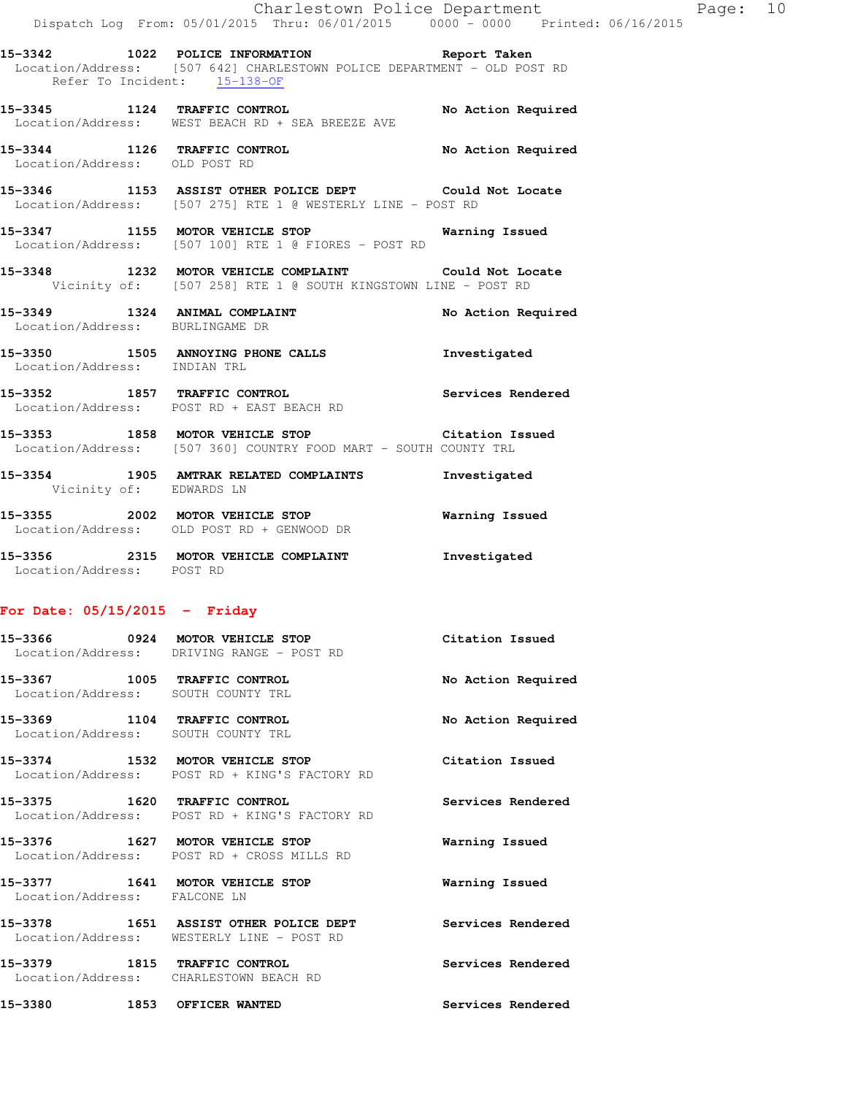**15-3342 1022 POLICE INFORMATION Report Taken**  Location/Address: [507 642] CHARLESTOWN POLICE DEPARTMENT - OLD POST RD Refer To Incident: 15-138-OF

**15-3345 1124 TRAFFIC CONTROL No Action Required**  Location/Address: WEST BEACH RD + SEA BREEZE AVE

**15-3344 1126 TRAFFIC CONTROL No Action Required**  Location/Address: OLD POST RD

**15-3346 1153 ASSIST OTHER POLICE DEPT Could Not Locate**  Location/Address: [507 275] RTE 1 @ WESTERLY LINE - POST RD

**15-3347 1155 MOTOR VEHICLE STOP Warning Issued**  Location/Address: [507 100] RTE 1 @ FIORES - POST RD

**15-3348 1232 MOTOR VEHICLE COMPLAINT Could Not Locate**  Vicinity of: [507 258] RTE 1 @ SOUTH KINGSTOWN LINE - POST RD

**15-3349 1324 ANIMAL COMPLAINT No Action Required**  Location/Address: BURLINGAME DR

**15-3350 1505 ANNOYING PHONE CALLS Investigated**  Location/Address: INDIAN TRL

**15-3352 1857 TRAFFIC CONTROL Services Rendered**  Location/Address: POST RD + EAST BEACH RD

**15-3353 1858 MOTOR VEHICLE STOP Citation Issued**  Location/Address: [507 360] COUNTRY FOOD MART - SOUTH COUNTY TRL

**15-3354 1905 AMTRAK RELATED COMPLAINTS Investigated**  Vicinity of: EDWARDS LN

**15-3355 2002 MOTOR VEHICLE STOP Warning Issued**  Location/Address: OLD POST RD + GENWOOD DR **15-3356 2315 MOTOR VEHICLE COMPLAINT Investigated** 

Location/Address: POST RD

### **For Date: 05/15/2015 - Friday**

|                                                                    | 15-3366 0924 MOTOR VEHICLE STOP<br>Location/Address: DRIVING RANGE - POST RD       | Citation Issued    |
|--------------------------------------------------------------------|------------------------------------------------------------------------------------|--------------------|
| 15-3367 1005 TRAFFIC CONTROL<br>Location/Address: SOUTH COUNTY TRL |                                                                                    | No Action Required |
| 15-3369 1104 TRAFFIC CONTROL<br>Location/Address: SOUTH COUNTY TRL |                                                                                    | No Action Required |
|                                                                    | 15-3374 1532 MOTOR VEHICLE STOP<br>Location/Address: POST RD + KING'S FACTORY RD   | Citation Issued    |
| 15-3375 1620 TRAFFIC CONTROL                                       | Location/Address: POST RD + KING'S FACTORY RD                                      | Services Rendered  |
| 15-3376 1627 MOTOR VEHICLE STOP                                    | Location/Address: POST RD + CROSS MILLS RD                                         | Warning Issued     |
| 15-3377 1641 MOTOR VEHICLE STOP<br>Location/Address: FALCONE LN    |                                                                                    | Warning Issued     |
|                                                                    | 15-3378 1651 ASSIST OTHER POLICE DEPT<br>Location/Address: WESTERLY LINE - POST RD | Services Rendered  |

**15-3379 1815 TRAFFIC CONTROL Services Rendered**  Location/Address: CHARLESTOWN BEACH RD

**15-3380 1853 OFFICER WANTED Services Rendered**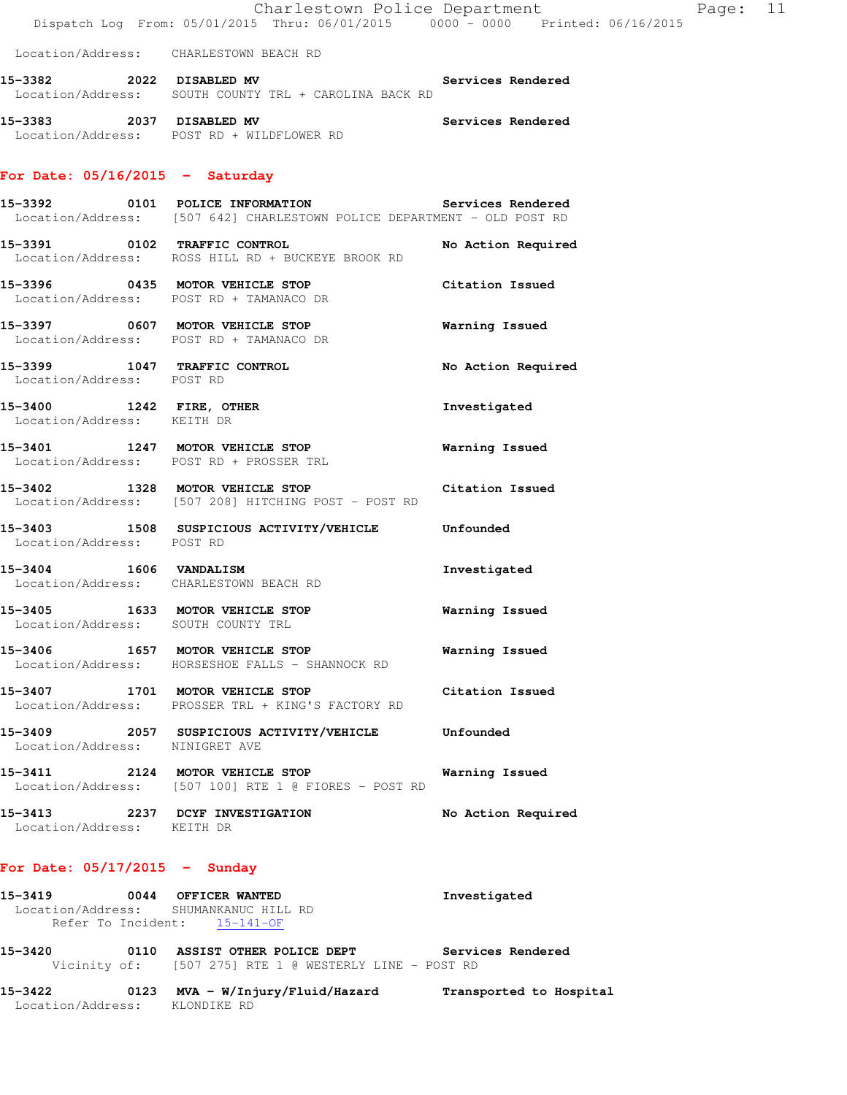|                                   | Charlestown Police Department<br>Dispatch Log From: 05/01/2015 Thru: 06/01/2015 0000 - 0000 Printed: 06/16/2015              |                       |
|-----------------------------------|------------------------------------------------------------------------------------------------------------------------------|-----------------------|
|                                   | Location/Address: CHARLESTOWN BEACH RD                                                                                       |                       |
|                                   | Location/Address: SOUTH COUNTY TRL + CAROLINA BACK RD                                                                        |                       |
|                                   | 15-3383 2037 DISABLED MV<br>Location/Address: POST RD + WILDFLOWER RD                                                        | Services Rendered     |
| For Date: $05/16/2015$ - Saturday |                                                                                                                              |                       |
|                                   | 15-3392 0101 POLICE INFORMATION Services Rendered<br>Location/Address: [507 642] CHARLESTOWN POLICE DEPARTMENT - OLD POST RD |                       |
|                                   | 15-3391 0102 TRAFFIC CONTROL<br>Location/Address: ROSS HILL RD + BUCKEYE BROOK RD                                            | No Action Required    |
|                                   | 15-3396 0435 MOTOR VEHICLE STOP Citation Issued<br>Location/Address: POST RD + TAMANACO DR                                   |                       |
|                                   | 15-3397 0607 MOTOR VEHICLE STOP 60 Warning Issued<br>Location/Address: POST RD + TAMANACO DR                                 |                       |
| Location/Address: POST RD         | 15-3399 1047 TRAFFIC CONTROL                                                                                                 | No Action Required    |
| Location/Address: KEITH DR        | 15-3400 1242 FIRE, OTHER                                                                                                     | Investigated          |
|                                   | 15-3401 1247 MOTOR VEHICLE STOP<br>Location/Address: POST RD + PROSSER TRL                                                   | <b>Warning Issued</b> |
|                                   | 15-3402 1328 MOTOR VEHICLE STOP Citation Issued<br>Location/Address: [507 208] HITCHING POST - POST RD                       |                       |
| Location/Address: POST RD         | 15-3403 1508 SUSPICIOUS ACTIVITY/VEHICLE Unfounded                                                                           |                       |
|                                   | 15-3404 1606 VANDALISM<br>Location/Address: CHARLESTOWN BEACH RD                                                             | Investigated          |
|                                   | 15-3405 1633 MOTOR VEHICLE STOP<br>Location/Address: SOUTH COUNTY TRL                                                        | <b>Warning Issued</b> |
|                                   | 15-3406 1657 MOTOR VEHICLE STOP<br>Location/Address: HORSESHOE FALLS - SHANNOCK RD                                           | Warning Issued        |
|                                   | 15-3407 1701 MOTOR VEHICLE STOP Citation Issued<br>Location/Address: PROSSER TRL + KING'S FACTORY RD                         |                       |
| Location/Address: NINIGRET AVE    | 15-3409 2057 SUSPICIOUS ACTIVITY/VEHICLE Unfounded                                                                           |                       |
|                                   | 15-3411 2124 MOTOR VEHICLE STOP<br>Location/Address: [507 100] RTE 1 @ FIORES - POST RD                                      | Warning Issued        |
| Location/Address: KEITH DR        | 15-3413 2237 DCYF INVESTIGATION                                                                                              | No Action Required    |
|                                   |                                                                                                                              |                       |

Page: 11

# **For Date: 05/17/2015 - Sunday**

| 15-3419            | 0044 | <b>OFFICER WANTED</b> | Investigated |
|--------------------|------|-----------------------|--------------|
| Location/Address:  |      | SHUMANKANUC HILL RD   |              |
| Refer To Incident: |      | $15 - 141 - OF$       |              |

**15-3420 0110 ASSIST OTHER POLICE DEPT Services Rendered**  Vicinity of: [507 275] RTE 1 @ WESTERLY LINE - POST RD

**15-3422 0123 MVA - W/Injury/Fluid/Hazard Transported to Hospital**  Location/Address: KLONDIKE RD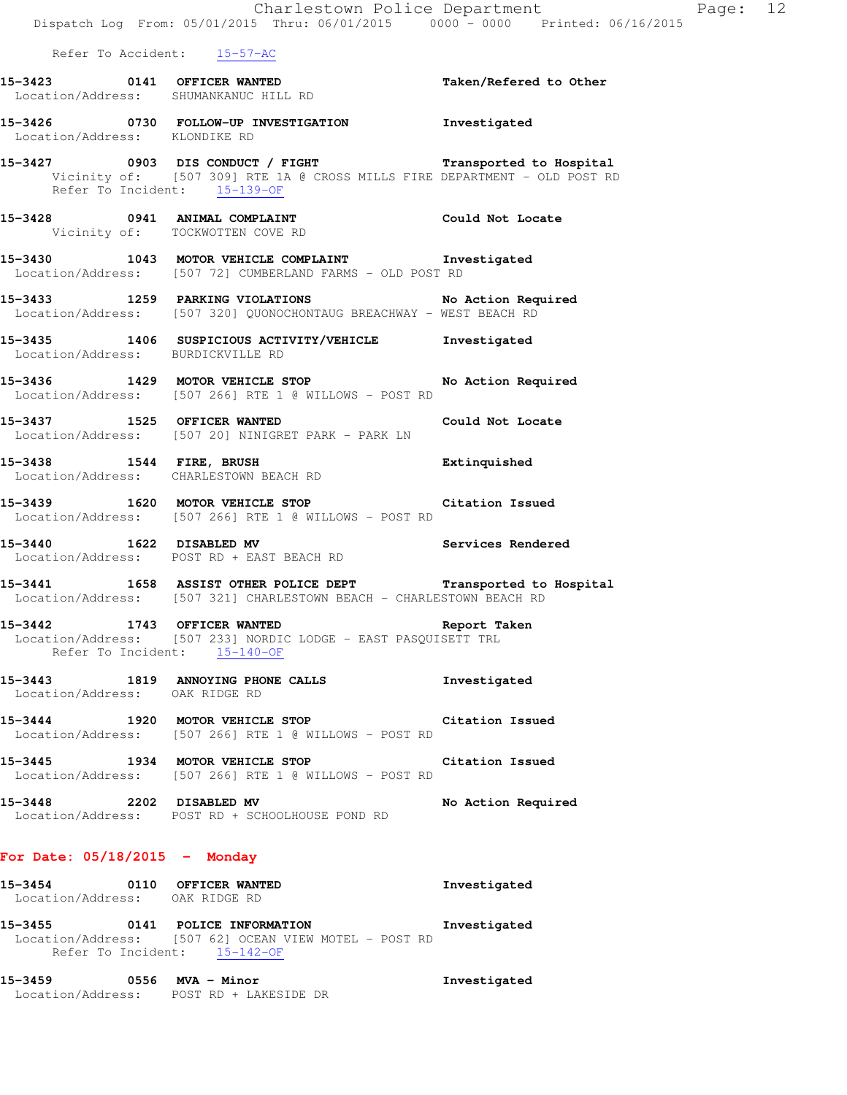|                                                               | Charlestown Police Department<br>Dispatch Log From: 05/01/2015 Thru: 06/01/2015 0000 - 0000 Printed: 06/16/2015                                                         |                    |
|---------------------------------------------------------------|-------------------------------------------------------------------------------------------------------------------------------------------------------------------------|--------------------|
|                                                               | Refer To Accident: 15-57-AC                                                                                                                                             |                    |
|                                                               | 15-3423 0141 OFFICER WANTED Taken/Refered to Other<br>Location/Address: SHUMANKANUC HILL RD                                                                             |                    |
| Location/Address: KLONDIKE RD                                 | 15-3426 0730 FOLLOW-UP INVESTIGATION 1nvestigated                                                                                                                       |                    |
|                                                               | 15-3427 0903 DIS CONDUCT / FIGHT Transported to Hospital<br>Vicinity of: [507 309] RTE 1A @ CROSS MILLS FIRE DEPARTMENT - OLD POST RD<br>Refer To Incident: $15-139-0F$ |                    |
|                                                               | 15-3428 0941 ANIMAL COMPLAINT COULD Could Not Locate<br>Vicinity of: TOCKWOTTEN COVE RD                                                                                 |                    |
|                                                               | 15-3430 1043 MOTOR VEHICLE COMPLAINT 1nvestigated<br>Location/Address: [507 72] CUMBERLAND FARMS - OLD POST RD                                                          |                    |
|                                                               | 15-3433 1259 PARKING VIOLATIONS No Action Required<br>Location/Address: [507 320] QUONOCHONTAUG BREACHWAY - WEST BEACH RD                                               |                    |
| Location/Address: BURDICKVILLE RD                             | 15-3435 1406 SUSPICIOUS ACTIVITY/VEHICLE 1nvestigated                                                                                                                   |                    |
|                                                               | 15-3436 1429 MOTOR VEHICLE STOP No Action Required<br>Location/Address: [507 266] RTE 1 @ WILLOWS - POST RD                                                             |                    |
| 15-3437 1525 OFFICER WANTED                                   | Location/Address: [507 20] NINIGRET PARK - PARK LN                                                                                                                      | Could Not Locate   |
|                                                               | 15-3438 1544 FIRE, BRUSH 15-3438 Extinquished<br>Location/Address: CHARLESTOWN BEACH RD                                                                                 |                    |
|                                                               | 15-3439 1620 MOTOR VEHICLE STOP 15-3439 Citation Issued<br>Location/Address: [507 266] RTE 1 @ WILLOWS - POST RD                                                        |                    |
|                                                               | 15-3440 1622 DISABLED MV 15-3440 Services Rendered<br>Location/Address: POST RD + EAST BEACH RD                                                                         |                    |
|                                                               | 15-3441 1658 ASSIST OTHER POLICE DEPT Transported to Hospital<br>Location/Address: [507 321] CHARLESTOWN BEACH - CHARLESTOWN BEACH RD                                   |                    |
| 15-3442 1743 OFFICER WANTED                                   | Location/Address: [507 233] NORDIC LODGE - EAST PASQUISETT TRL<br>Refer To Incident: 15-140-OF                                                                          | Report Taken       |
| Location/Address: OAK RIDGE RD                                | 15-3443 1819 ANNOYING PHONE CALLS                                                                                                                                       | Investigated       |
|                                                               | 15-3444 1920 MOTOR VEHICLE STOP Citation Issued<br>Location/Address: [507 266] RTE 1 @ WILLOWS - POST RD                                                                |                    |
|                                                               | 15-3445 1934 MOTOR VEHICLE STOP<br>Location/Address: [507 266] RTE 1 @ WILLOWS - POST RD                                                                                | Citation Issued    |
| 15-3448 2202 DISABLED MV                                      | Location/Address: POST RD + SCHOOLHOUSE POND RD                                                                                                                         | No Action Required |
| For Date: $05/18/2015$ - Monday                               |                                                                                                                                                                         |                    |
| 15-3454 0110 OFFICER WANTED<br>Location/Address: OAK RIDGE RD |                                                                                                                                                                         | Investigated       |

**15-3455 0141 POLICE INFORMATION Investigated**  Location/Address: [507 62] OCEAN VIEW MOTEL - POST RD Refer To Incident: 15-142-OF

**15-3459 0556 MVA - Minor Investigated**  Location/Address: POST RD + LAKESIDE DR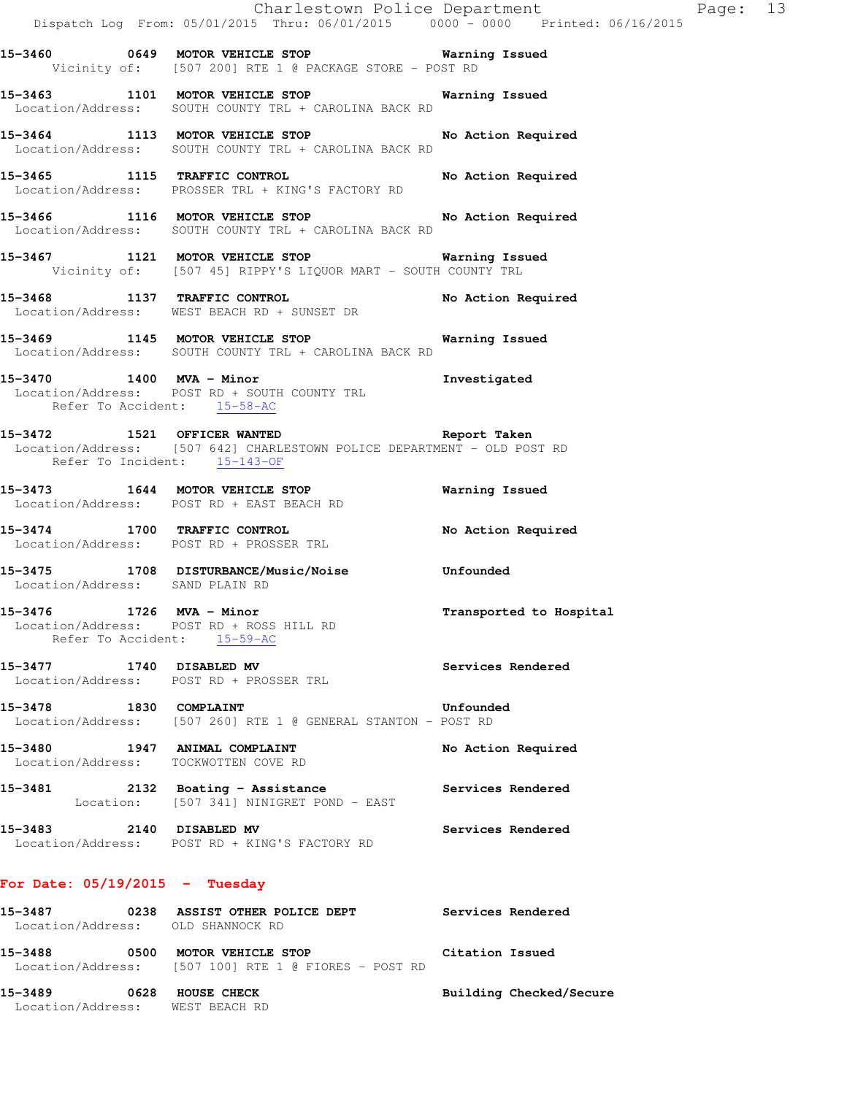|                                  | Dispatch Log From: 05/01/2015 Thru: 06/01/2015 0000 - 0000 Printed: 06/16/2015                                                                              | Charlestown Police Department The Page: 13 |  |
|----------------------------------|-------------------------------------------------------------------------------------------------------------------------------------------------------------|--------------------------------------------|--|
|                                  | 15-3460 0649 MOTOR VEHICLE STOP Warning Issued<br>Vicinity of: [507 200] RTE 1 @ PACKAGE STORE - POST RD                                                    |                                            |  |
|                                  | 15-3463 1101 MOTOR VEHICLE STOP 6 Warning Issued<br>Location/Address: SOUTH COUNTY TRL + CAROLINA BACK RD                                                   |                                            |  |
|                                  | 15-3464 1113 MOTOR VEHICLE STOP No Action Required<br>Location/Address: SOUTH COUNTY TRL + CAROLINA BACK RD                                                 |                                            |  |
|                                  | 15-3465 1115 TRAFFIC CONTROL No Action Required<br>Location/Address: PROSSER TRL + KING'S FACTORY RD                                                        |                                            |  |
|                                  | 15-3466 1116 MOTOR VEHICLE STOP No Action Required<br>Location/Address: SOUTH COUNTY TRL + CAROLINA BACK RD                                                 |                                            |  |
|                                  | 15-3467 1121 MOTOR VEHICLE STOP 6 Warning Issued<br>Vicinity of: [507 45] RIPPY'S LIQUOR MART - SOUTH COUNTY TRL                                            |                                            |  |
|                                  | 15-3468 1137 TRAFFIC CONTROL No Action Required<br>Location/Address: WEST BEACH RD + SUNSET DR                                                              |                                            |  |
|                                  | 15-3469 1145 MOTOR VEHICLE STOP 6 Warning Issued<br>Location/Address: SOUTH COUNTY TRL + CAROLINA BACK RD                                                   |                                            |  |
|                                  | 15-3470 1400 MVA - Minor 15-3470 1nvestigated<br>Location/Address: POST RD + SOUTH COUNTY TRL<br>Refer To Accident: 15-58-AC                                |                                            |  |
|                                  | 15-3472 1521 OFFICER WANTED 15-3472 Report Taken<br>Location/Address: [507 642] CHARLESTOWN POLICE DEPARTMENT - OLD POST RD<br>Refer To Incident: 15-143-OF |                                            |  |
|                                  | 15-3473 1644 MOTOR VEHICLE STOP<br>Location/Address: POST RD + EAST BEACH RD                                                                                | <b>Warning Issued</b>                      |  |
|                                  | 15-3474 1700 TRAFFIC CONTROL<br>Location/Address: POST RD + PROSSER TRL                                                                                     | No Action Required                         |  |
|                                  | 15-3475 1708 DISTURBANCE/Music/Noise Unfounded<br>Location/Address: SAND PLAIN RD                                                                           |                                            |  |
| 15-3476 1726 MVA - Minor         | Location/Address: POST RD + ROSS HILL RD<br>Refer To Accident: 15-59-AC                                                                                     | Transported to Hospital                    |  |
|                                  | 15-3477 1740 DISABLED MV<br>Location/Address: POST RD + PROSSER TRL                                                                                         | Services Rendered                          |  |
|                                  | 15-3478 1830 COMPLAINT<br>Location/Address: [507 260] RTE 1 @ GENERAL STANTON - POST RD                                                                     | Unfounded                                  |  |
|                                  | 15-3480 1947 ANIMAL COMPLAINT<br>Location/Address: TOCKWOTTEN COVE RD                                                                                       | No Action Required                         |  |
| 15-3481                          | 2132 Boating - Assistance<br>Location: [507 341] NINIGRET POND - EAST                                                                                       | Services Rendered                          |  |
| 15-3483 2140 DISABLED MV         | Location/Address: POST RD + KING'S FACTORY RD                                                                                                               | Services Rendered                          |  |
| For Date: $05/19/2015$ - Tuesday |                                                                                                                                                             |                                            |  |
|                                  | 15-3487 0238 ASSIST OTHER POLICE DEPT<br>Location/Address: OLD SHANNOCK RD                                                                                  | Services Rendered                          |  |
|                                  | 15-3488 0500 MOTOR VEHICLE STOP<br>Location/Address: [507 100] RTE 1 @ FIORES - POST RD                                                                     | Citation Issued                            |  |

**15-3489 0628 HOUSE CHECK Building Checked/Secure**  Location/Address: WEST BEACH RD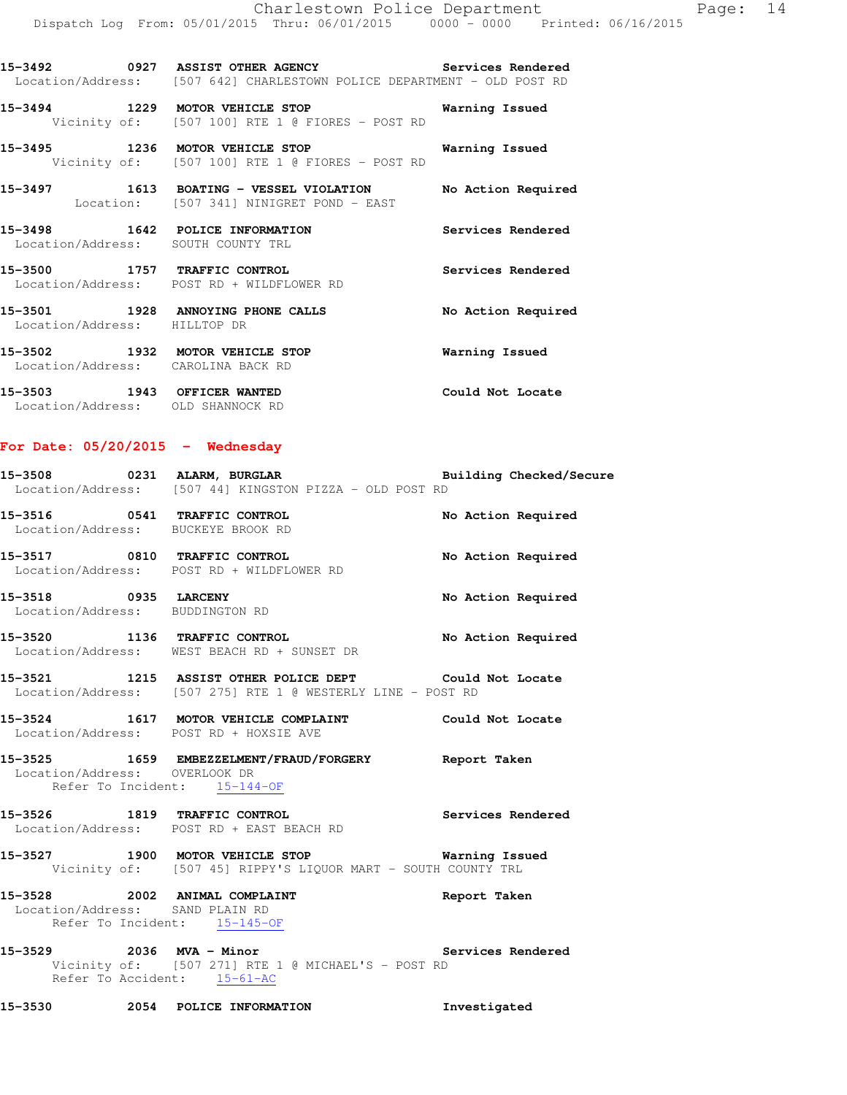**15-3492 0927 ASSIST OTHER AGENCY Services Rendered**  Location/Address: [507 642] CHARLESTOWN POLICE DEPARTMENT - OLD POST RD

**15-3494 1229 MOTOR VEHICLE STOP Warning Issued**  Vicinity of: [507 100] RTE 1 @ FIORES - POST RD

**15-3495 1236 MOTOR VEHICLE STOP Warning Issued**  Vicinity of: [507 100] RTE 1 @ FIORES - POST RD

**15-3497 1613 BOATING - VESSEL VIOLATION No Action Required**  Location: [507 341] NINIGRET POND - EAST

**15-3498 1642 POLICE INFORMATION Services Rendered**  Location/Address: SOUTH COUNTY TRL

**15-3500 1757 TRAFFIC CONTROL Services Rendered**  Location/Address: POST RD + WILDFLOWER RD

**15-3501 1928 ANNOYING PHONE CALLS No Action Required**  Location/Address: HILLTOP DR

**15-3502 1932 MOTOR VEHICLE STOP Warning Issued**  Location/Address: CAROLINA BACK RD

**15-3503 1943 OFFICER WANTED Could Not Locate**  Location/Address: OLD SHANNOCK RD

### **For Date: 05/20/2015 - Wednesday**

| 15-3508           |  | 0231 ALARM, BURGLAR                   |  |  | Building Checked/Secure |
|-------------------|--|---------------------------------------|--|--|-------------------------|
| Location/Address: |  | [507 44] KINGSTON PIZZA - OLD POST RD |  |  |                         |

**15-3516 0541 TRAFFIC CONTROL No Action Required**  Location/Address: BUCKEYE BROOK RD

**15-3517 0810 TRAFFIC CONTROL No Action Required**  Location/Address: POST RD + WILDFLOWER RD

**15-3518 0935 LARCENY No Action Required**  Location/Address: BUDDINGTON RD

**15-3520 1136 TRAFFIC CONTROL No Action Required**  Location/Address: WEST BEACH RD + SUNSET DR

**15-3521 1215 ASSIST OTHER POLICE DEPT Could Not Locate**  Location/Address: [507 275] RTE 1 @ WESTERLY LINE - POST RD

**15-3524 1617 MOTOR VEHICLE COMPLAINT Could Not Locate**  Location/Address: POST RD + HOXSIE AVE

**15-3525 1659 EMBEZZELMENT/FRAUD/FORGERY Report Taken**  Location/Address: OVERLOOK DR Refer To Incident: 15-144-OF

**15-3526 1819 TRAFFIC CONTROL Services Rendered**  Location/Address: POST RD + EAST BEACH RD

**15-3527 1900 MOTOR VEHICLE STOP Warning Issued**  Vicinity of: [507 45] RIPPY'S LIQUOR MART - SOUTH COUNTY TRL

**15-3528 2002 ANIMAL COMPLAINT Report Taken**  Location/Address: SAND PLAIN RD Refer To Incident: 15-145-OF

**15-3529 2036 MVA - Minor Services Rendered**  Vicinity of: [507 271] RTE 1 @ MICHAEL'S - POST RD Refer To Accident: 15-61-AC

**15-3530 2054 POLICE INFORMATION Investigated**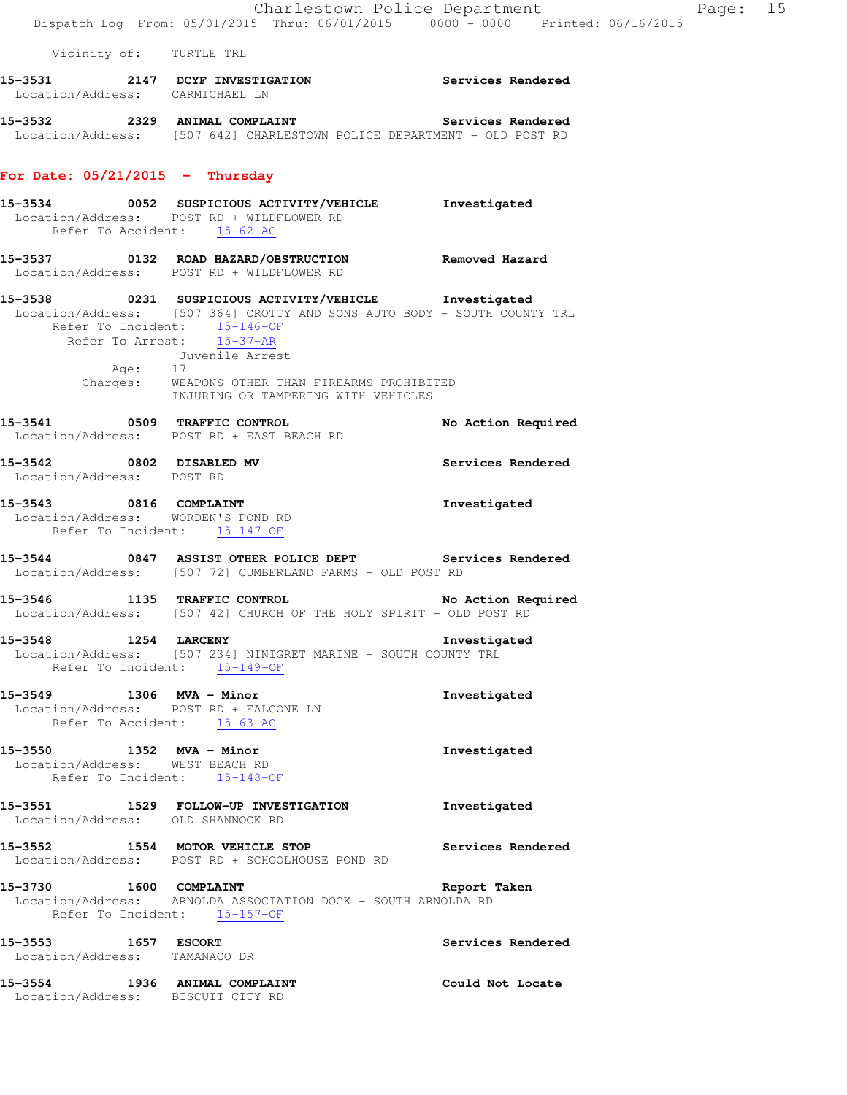Vicinity of: TURTLE TRL

| 15-3531           | 2147 | <b>DCYF INVESTIGATION</b> | Services Rendered |
|-------------------|------|---------------------------|-------------------|
| Location/Address: |      | CARMICHAEL LN             |                   |
|                   |      |                           |                   |

**15-3532 2329 ANIMAL COMPLAINT Services Rendered**  Location/Address: [507 642] CHARLESTOWN POLICE DEPARTMENT - OLD POST RD

# **For Date: 05/21/2015 - Thursday**

- **15-3534 0052 SUSPICIOUS ACTIVITY/VEHICLE Investigated**  Location/Address: POST RD + WILDFLOWER RD Refer To Accident: 15-62-AC
- **15-3537 0132 ROAD HAZARD/OBSTRUCTION Removed Hazard**  Location/Address: POST RD + WILDFLOWER RD
- **15-3538 0231 SUSPICIOUS ACTIVITY/VEHICLE Investigated**  Location/Address: [507 364] CROTTY AND SONS AUTO BODY - SOUTH COUNTY TRL Refer To Incident: 15-146-OF Refer To Arrest: 15-37-AR Juvenile Arrest Age: 17 Charges: WEAPONS OTHER THAN FIREARMS PROHIBITED INJURING OR TAMPERING WITH VEHICLES
- **15-3541 0509 TRAFFIC CONTROL No Action Required**  Location/Address: POST RD + EAST BEACH RD
- **15-3542 0802 DISABLED MV Services Rendered**  Location/Address: POST RD
- **15-3543 0816 COMPLAINT Investigated**  Location/Address: WORDEN'S POND RD Refer To Incident: 15-147-OF
- **15-3544 0847 ASSIST OTHER POLICE DEPT Services Rendered**  Location/Address: [507 72] CUMBERLAND FARMS - OLD POST RD
- **15-3546 1135 TRAFFIC CONTROL No Action Required**  Location/Address: [507 42] CHURCH OF THE HOLY SPIRIT - OLD POST RD
- **15-3548 1254 LARCENY Investigated**  Location/Address: [507 234] NINIGRET MARINE - SOUTH COUNTY TRL Refer To Incident: 15-149-OF
- **15-3549 1306 MVA Minor Investigated**  Location/Address: POST RD + FALCONE LN Refer To Accident: 15-63-AC
- **15-3550 1352 MVA Minor Investigated**  Location/Address: WEST BEACH RD Refer To Incident: 15-148-OF
- **15-3551 1529 FOLLOW-UP INVESTIGATION Investigated**  Location/Address: OLD SHANNOCK RD
- **15-3552 1554 MOTOR VEHICLE STOP Services Rendered**  Location/Address: POST RD + SCHOOLHOUSE POND RD
- **15-3730 1600 COMPLAINT Report Taken**  Location/Address: ARNOLDA ASSOCIATION DOCK - SOUTH ARNOLDA RD Refer To Incident: 15-157-OF
- **15-3553 1657 ESCORT Services Rendered**  Location/Address: TAMANACO DR **15-3554 1936 ANIMAL COMPLAINT Could Not Locate**
- Location/Address: BISCUIT CITY RD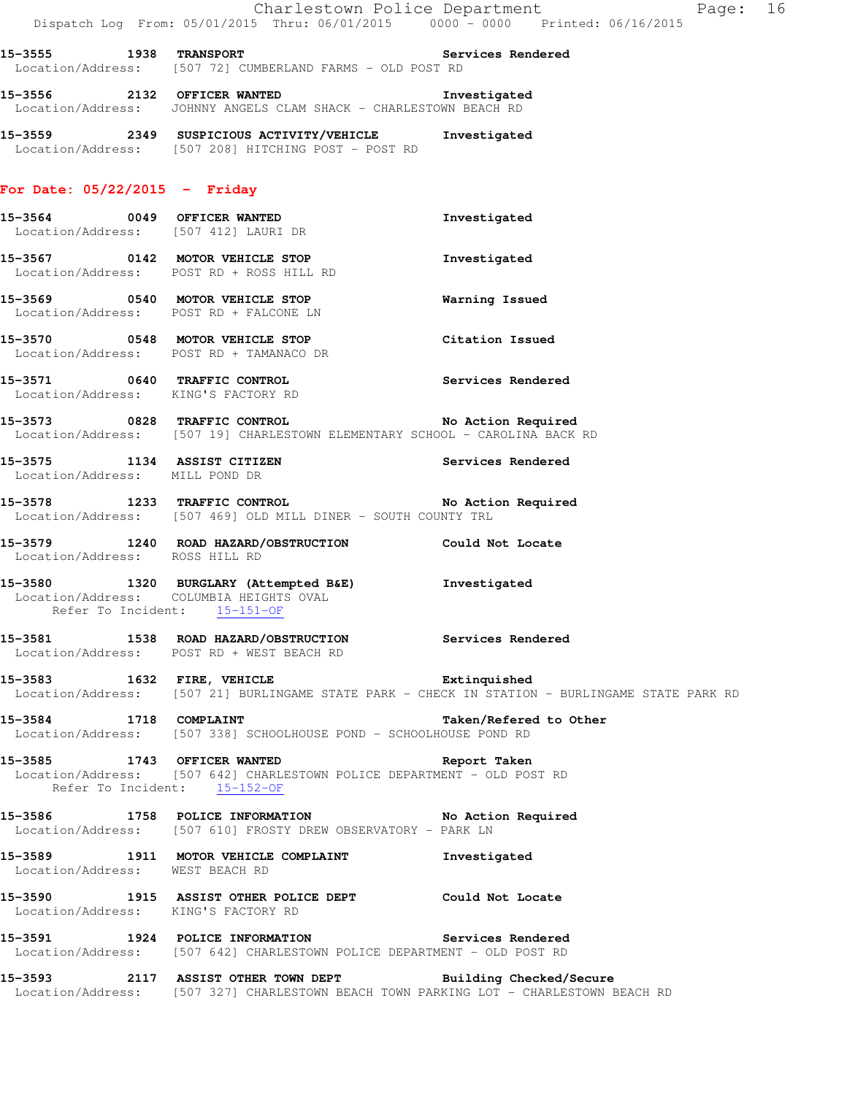| 15-3555 1938 TRANSPORT          | Services Rendered<br>Location/Address: [507 72] CUMBERLAND FARMS - OLD POST RD                                                                             |                                                                                                |
|---------------------------------|------------------------------------------------------------------------------------------------------------------------------------------------------------|------------------------------------------------------------------------------------------------|
|                                 | 15-3556 2132 OFFICER WANTED 15-3556<br>Location/Address: JOHNNY ANGELS CLAM SHACK - CHARLESTOWN BEACH RD                                                   | Investigated                                                                                   |
|                                 | 15-3559 2349 SUSPICIOUS ACTIVITY/VEHICLE Investigated<br>Location/Address: [507 208] HITCHING POST - POST RD                                               |                                                                                                |
| For Date: $05/22/2015$ - Friday |                                                                                                                                                            |                                                                                                |
|                                 | 15-3564 0049 OFFICER WANTED<br>Location/Address: [507 412] LAURI DR                                                                                        | Investigated                                                                                   |
|                                 | 15-3567 0142 MOTOR VEHICLE STOP<br>Location/Address: POST RD + ROSS HILL RD                                                                                | Investigated                                                                                   |
|                                 | 15-3569 0540 MOTOR VEHICLE STOP<br>Location/Address: POST RD + FALCONE LN                                                                                  | Warning Issued                                                                                 |
|                                 | 15-3570 0548 MOTOR VEHICLE STOP<br>Location/Address: POST RD + TAMANACO DR                                                                                 | Citation Issued                                                                                |
|                                 | 15-3571 0640 TRAFFIC CONTROL 2000 Services Rendered<br>Location/Address: KING'S FACTORY RD                                                                 |                                                                                                |
|                                 | 15-3573 0828 TRAFFIC CONTROL No Action Required<br>Location/Address: [507 19] CHARLESTOWN ELEMENTARY SCHOOL - CAROLINA BACK RD                             |                                                                                                |
|                                 | 15-3575 1134 ASSIST CITIZEN Services Rendered<br>Location/Address: MILL POND DR                                                                            |                                                                                                |
|                                 | 15-3578 1233 TRAFFIC CONTROL No Action Required<br>Location/Address: [507 469] OLD MILL DINER - SOUTH COUNTY TRL                                           |                                                                                                |
| Location/Address: ROSS HILL RD  | 15-3579 1240 ROAD HAZARD/OBSTRUCTION Could Not Locate                                                                                                      |                                                                                                |
| Refer To Incident: 15-151-OF    | 15-3580 1320 BURGLARY (Attempted B&E) Investigated<br>Location/Address: COLUMBIA HEIGHTS OVAL                                                              |                                                                                                |
|                                 | 15-3581 1538 ROAD HAZARD/OBSTRUCTION Services Rendered<br>Location/Address: POST RD + WEST BEACH RD                                                        |                                                                                                |
|                                 | 15-3583 1632 FIRE, VEHICLE <b>16-18 Extinquished</b>                                                                                                       | Location/Address: [507 21] BURLINGAME STATE PARK - CHECK IN STATION - BURLINGAME STATE PARK RD |
| 15-3584 1718 COMPLAINT          | Location/Address: [507 338] SCHOOLHOUSE POND - SCHOOLHOUSE POND RD                                                                                         | Taken/Refered to Other                                                                         |
|                                 | 15-3585 1743 OFFICER WANTED <b>Report Taken</b><br>Location/Address: [507 642] CHARLESTOWN POLICE DEPARTMENT - OLD POST RD<br>Refer To Incident: 15-152-OF |                                                                                                |
|                                 | 15-3586 1758 POLICE INFORMATION 15-3586 No Action Required<br>Location/Address: [507 610] FROSTY DREW OBSERVATORY - PARK LN                                |                                                                                                |
| Location/Address: WEST BEACH RD | 15-3589 1911 MOTOR VEHICLE COMPLAINT Threstigated                                                                                                          |                                                                                                |
|                                 | 15-3590 1915 ASSIST OTHER POLICE DEPT Could Not Locate<br>Location/Address: KING'S FACTORY RD                                                              |                                                                                                |
|                                 | 15-3591 1924 POLICE INFORMATION 5ervices Rendered<br>Location/Address: [507 642] CHARLESTOWN POLICE DEPARTMENT - OLD POST RD                               |                                                                                                |
|                                 | 15-3593 2117 ASSIST OTHER TOWN DEPT Building Checked/Secure<br>Location/Address: [507 327] CHARLESTOWN BEACH TOWN PARKING LOT - CHARLESTOWN BEACH RD       |                                                                                                |

Charlestown Police Department Page: 16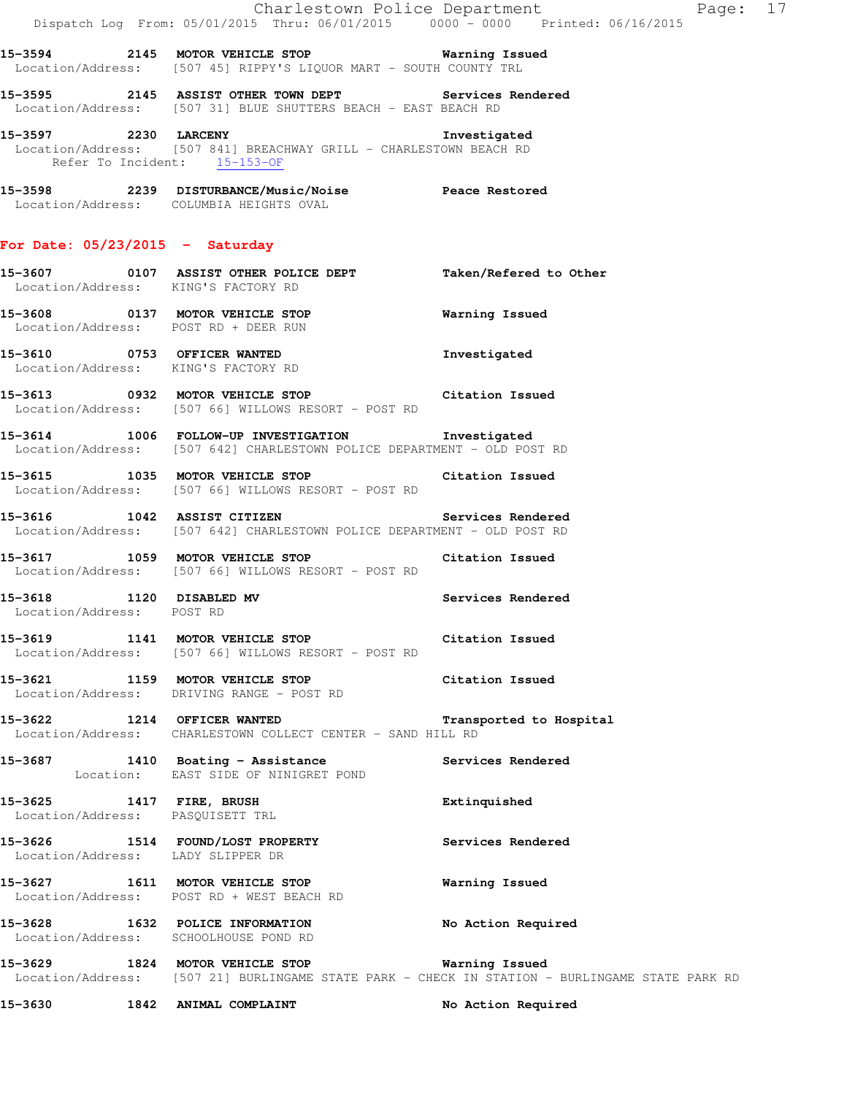|                                                              | Dispatch Log From: 05/01/2015 Thru: 06/01/2015 0000 - 0000 Printed: 06/16/2015                                               | Charlestown Police Department                                                                  | Page: 17 |
|--------------------------------------------------------------|------------------------------------------------------------------------------------------------------------------------------|------------------------------------------------------------------------------------------------|----------|
|                                                              | 15-3594 2145 MOTOR VEHICLE STOP Warning Issued<br>Location/Address: [507 45] RIPPY'S LIQUOR MART - SOUTH COUNTY TRL          |                                                                                                |          |
|                                                              | 15-3595 2145 ASSIST OTHER TOWN DEPT Services Rendered<br>Location/Address: [507 31] BLUE SHUTTERS BEACH - EAST BEACH RD      |                                                                                                |          |
|                                                              | 15-3597 2230 LARCENY<br>Location/Address: [507 841] BREACHWAY GRILL - CHARLESTOWN BEACH RD<br>Refer To Incident: 15-153-OF   | Investigated                                                                                   |          |
|                                                              | 15-3598 2239 DISTURBANCE/Music/Noise Peace Restored<br>Location/Address: COLUMBIA HEIGHTS OVAL                               |                                                                                                |          |
| For Date: $05/23/2015$ - Saturday                            |                                                                                                                              |                                                                                                |          |
| Location/Address: KING'S FACTORY RD                          | 15-3607 0107 ASSIST OTHER POLICE DEPT Taken/Refered to Other                                                                 |                                                                                                |          |
|                                                              | 15-3608 0137 MOTOR VEHICLE STOP 6 Warning Issued<br>Location/Address: POST RD + DEER RUN                                     |                                                                                                |          |
|                                                              | 15-3610 0753 OFFICER WANTED<br>Location/Address: KING'S FACTORY RD                                                           | Investigated                                                                                   |          |
|                                                              | 15-3613 0932 MOTOR VEHICLE STOP Citation Issued<br>Location/Address: [507 66] WILLOWS RESORT - POST RD                       |                                                                                                |          |
|                                                              | 15-3614 1006 FOLLOW-UP INVESTIGATION Investigated<br>Location/Address: [507 642] CHARLESTOWN POLICE DEPARTMENT - OLD POST RD |                                                                                                |          |
|                                                              | 15-3615 1035 MOTOR VEHICLE STOP Citation Issued<br>Location/Address: [507 66] WILLOWS RESORT - POST RD                       |                                                                                                |          |
|                                                              | 15-3616 1042 ASSIST CITIZEN<br>Location/Address: [507 642] CHARLESTOWN POLICE DEPARTMENT - OLD POST RD                       | Services Rendered                                                                              |          |
|                                                              | 15-3617 1059 MOTOR VEHICLE STOP<br>Location/Address: [507 66] WILLOWS RESORT - POST RD                                       | Citation Issued                                                                                |          |
| 15-3618 1120 DISABLED MV<br>Location/Address: POST RD        |                                                                                                                              | Services Rendered                                                                              |          |
|                                                              | 15-3619 1141 MOTOR VEHICLE STOP<br>Location/Address: [507 66] WILLOWS RESORT - POST RD                                       | Citation Issued                                                                                |          |
|                                                              | 15-3621 1159 MOTOR VEHICLE STOP 6 Citation Issued<br>Location/Address: DRIVING RANGE - POST RD                               |                                                                                                |          |
|                                                              | 15-3622 1214 OFFICER WANTED<br>Location/Address: CHARLESTOWN COLLECT CENTER - SAND HILL RD                                   | Transported to Hospital                                                                        |          |
|                                                              | 15-3687 1410 Boating - Assistance Services Rendered<br>Location: EAST SIDE OF NINIGRET POND                                  |                                                                                                |          |
| 15-3625 1417 FIRE, BRUSH<br>Location/Address: PASQUISETT TRL |                                                                                                                              | Extinquished                                                                                   |          |
| Location/Address: LADY SLIPPER DR                            | 15-3626 1514 FOUND/LOST PROPERTY                                                                                             | Services Rendered                                                                              |          |
|                                                              | 15-3627 1611 MOTOR VEHICLE STOP<br>Location/Address: POST RD + WEST BEACH RD                                                 | <b>Warning Issued</b>                                                                          |          |
|                                                              | 15-3628 1632 POLICE INFORMATION<br>Location/Address: SCHOOLHOUSE POND RD                                                     | No Action Required                                                                             |          |
|                                                              | 15-3629 1824 MOTOR VEHICLE STOP 6 Warning Issued                                                                             | Location/Address: [507 21] BURLINGAME STATE PARK - CHECK IN STATION - BURLINGAME STATE PARK RD |          |
| 15-3630                                                      | 1842 ANIMAL COMPLAINT                                                                                                        | No Action Required                                                                             |          |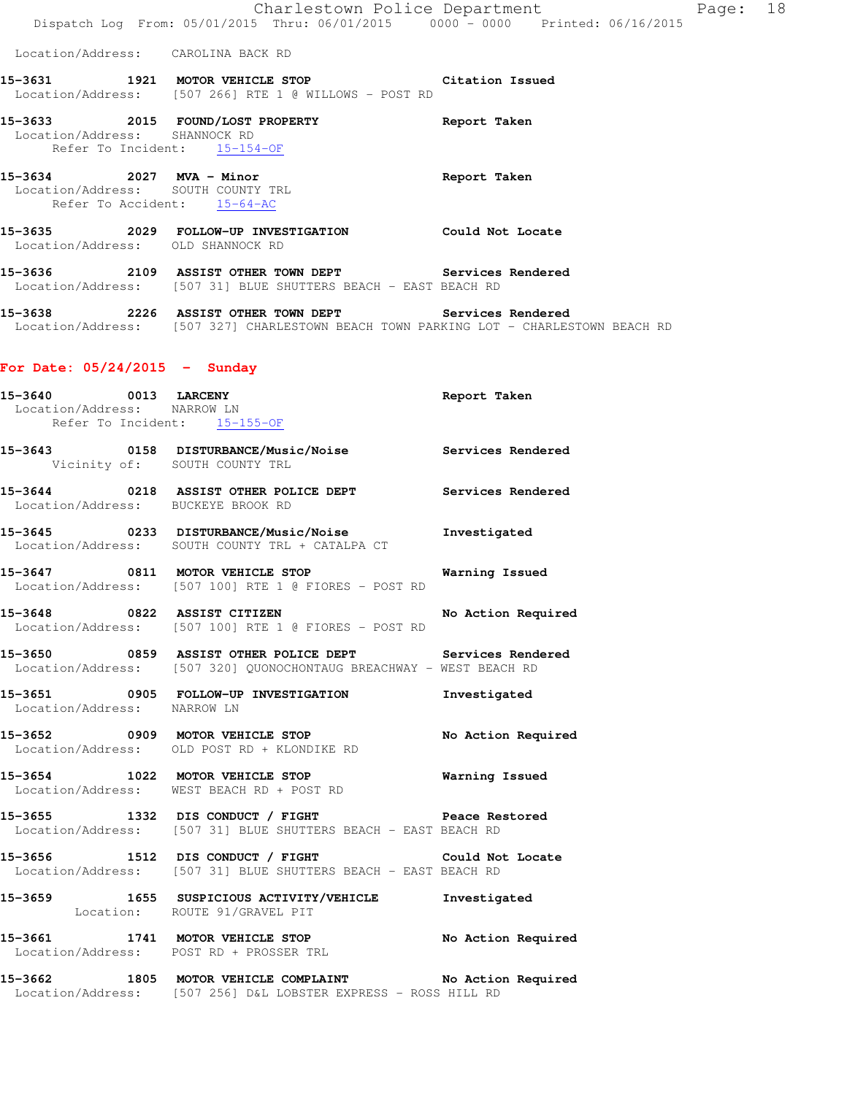|                                                                                               | Dispatch Log From: 05/01/2015 Thru: 06/01/2015 0000 - 0000 Printed: 06/16/2015                                                 | Charlestown Police Department | Page: 18 |  |
|-----------------------------------------------------------------------------------------------|--------------------------------------------------------------------------------------------------------------------------------|-------------------------------|----------|--|
| Location/Address: CAROLINA BACK RD                                                            |                                                                                                                                |                               |          |  |
|                                                                                               | 15-3631 1921 MOTOR VEHICLE STOP Citation Issued<br>Location/Address: [507 266] RTE 1 @ WILLOWS - POST RD                       |                               |          |  |
| Location/Address: SHANNOCK RD<br>Refer To Incident: 15-154-OF                                 | 15-3633 2015 FOUND/LOST PROPERTY                                                                                               | Report Taken                  |          |  |
| 15-3634 2027 MVA - Minor<br>Location/Address: SOUTH COUNTY TRL<br>Refer To Accident: 15-64-AC |                                                                                                                                | Report Taken                  |          |  |
| Location/Address: OLD SHANNOCK RD                                                             | 15-3635 2029 FOLLOW-UP INVESTIGATION Could Not Locate                                                                          |                               |          |  |
|                                                                                               | 15-3636 2109 ASSIST OTHER TOWN DEPT Services Rendered<br>Location/Address: [507 31] BLUE SHUTTERS BEACH - EAST BEACH RD        |                               |          |  |
|                                                                                               | 15-3638 2226 ASSIST OTHER TOWN DEPT<br>Location/Address: [507 327] CHARLESTOWN BEACH TOWN PARKING LOT - CHARLESTOWN BEACH RD   | Services Rendered             |          |  |
| For Date: $05/24/2015$ - Sunday                                                               |                                                                                                                                |                               |          |  |
| 15-3640 0013 LARCENY<br>Location/Address: NARROW LN<br>Refer To Incident: 15-155-OF           |                                                                                                                                | Report Taken                  |          |  |
|                                                                                               | 15-3643 0158 DISTURBANCE/Music/Noise Services Rendered<br>Vicinity of: SOUTH COUNTY TRL                                        |                               |          |  |
| Location/Address: BUCKEYE BROOK RD                                                            | 15-3644 0218 ASSIST OTHER POLICE DEPT Services Rendered                                                                        |                               |          |  |
|                                                                                               | 15-3645 0233 DISTURBANCE/Music/Noise<br>Location/Address: SOUTH COUNTY TRL + CATALPA CT                                        | Investigated                  |          |  |
| 15-3647 0811 MOTOR VEHICLE STOP                                                               | Location/Address: [507 100] RTE 1 @ FIORES - POST RD                                                                           | Warning Issued                |          |  |
| 15-3648 0822 ASSIST CITIZEN                                                                   | Location/Address: [507 100] RTE 1 @ FIORES - POST RD                                                                           | No Action Required            |          |  |
|                                                                                               | 15-3650 0859 ASSIST OTHER POLICE DEPT Services Rendered<br>Location/Address: [507 320] QUONOCHONTAUG BREACHWAY - WEST BEACH RD |                               |          |  |
| Location/Address: NARROW LN                                                                   | 15-3651 0905 FOLLOW-UP INVESTIGATION                                                                                           | Investigated                  |          |  |
|                                                                                               | 15-3652 0909 MOTOR VEHICLE STOP<br>Location/Address: OLD POST RD + KLONDIKE RD                                                 | No Action Required            |          |  |
|                                                                                               | 15-3654 1022 MOTOR VEHICLE STOP 6 Warning Issued<br>Location/Address: WEST BEACH RD + POST RD                                  |                               |          |  |
|                                                                                               | 15-3655 1332 DIS CONDUCT / FIGHT Peace Restored<br>Location/Address: [507 31] BLUE SHUTTERS BEACH - EAST BEACH RD              |                               |          |  |
|                                                                                               | 15-3656 1512 DIS CONDUCT / FIGHT Could Not Locate<br>Location/Address: [507 31] BLUE SHUTTERS BEACH - EAST BEACH RD            |                               |          |  |
| Location: ROUTE 91/GRAVEL PIT                                                                 | 15-3659 1655 SUSPICIOUS ACTIVITY/VEHICLE Investigated                                                                          |                               |          |  |
|                                                                                               | 15-3661 1741 MOTOR VEHICLE STOP<br>Location/Address: POST RD + PROSSER TRL                                                     | No Action Required            |          |  |
|                                                                                               | 15-3662 1805 MOTOR VEHICLE COMPLAINT No Action Required<br>Location/Address: [507 256] D&L LOBSTER EXPRESS - ROSS HILL RD      |                               |          |  |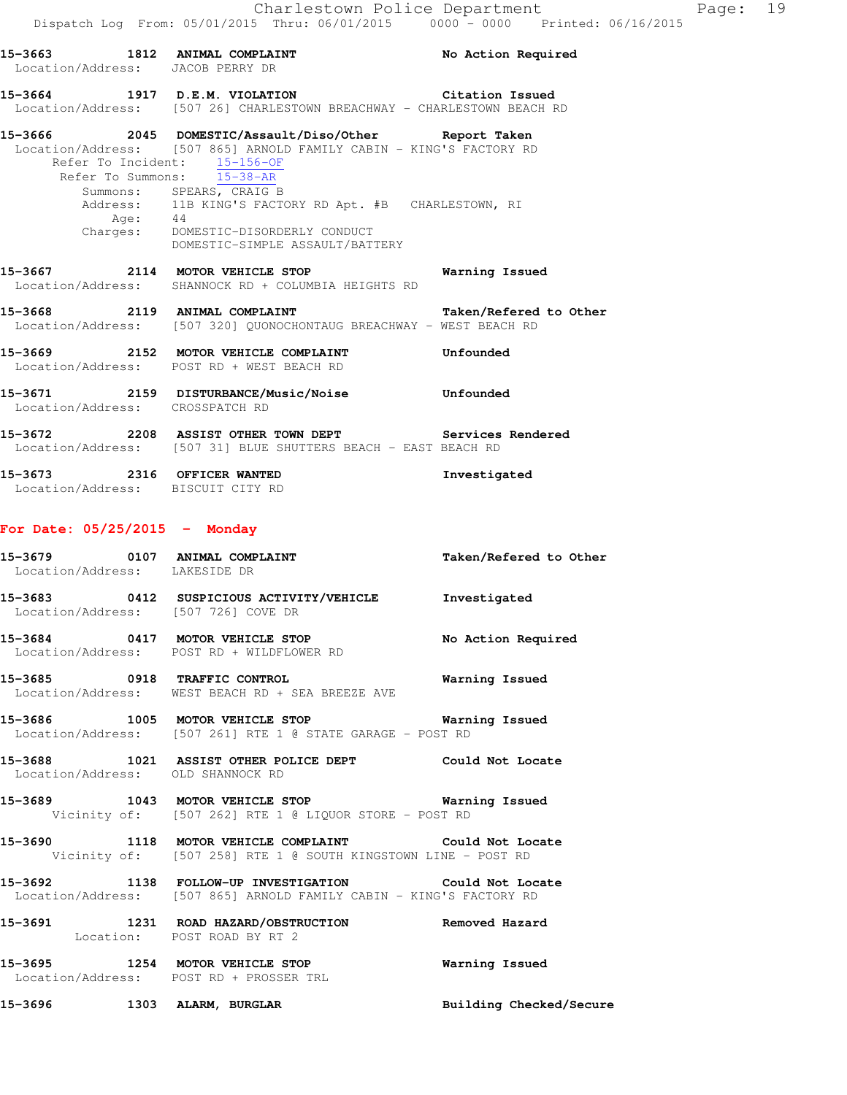**15-3663 1812 ANIMAL COMPLAINT No Action Required**  Location/Address: JACOB PERRY DR **15-3664 1917 D.E.M. VIOLATION Citation Issued**  Location/Address: [507 26] CHARLESTOWN BREACHWAY - CHARLESTOWN BEACH RD **15-3666 2045 DOMESTIC/Assault/Diso/Other Report Taken**  Location/Address: [507 865] ARNOLD FAMILY CABIN - KING'S FACTORY RD Refer To Incident: 15-156-OF Refer To Summons: 15-38-AR Summons: SPEARS, CRAIG B Address: 11B KING'S FACTORY RD Apt. #B CHARLESTOWN, RI<br>Age: 44 Age: 44 Charges: DOMESTIC-DISORDERLY CONDUCT DOMESTIC-SIMPLE ASSAULT/BATTERY **15-3667 2114 MOTOR VEHICLE STOP Warning Issued**  Location/Address: SHANNOCK RD + COLUMBIA HEIGHTS RD **15-3668 2119 ANIMAL COMPLAINT Taken/Refered to Other**  Location/Address: [507 320] QUONOCHONTAUG BREACHWAY - WEST BEACH RD **15-3669 2152 MOTOR VEHICLE COMPLAINT Unfounded**  Location/Address: POST RD + WEST BEACH RD **15-3671 2159 DISTURBANCE/Music/Noise Unfounded**  Location/Address: CROSSPATCH RD **15-3672 2208 ASSIST OTHER TOWN DEPT Services Rendered**  Location/Address: [507 31] BLUE SHUTTERS BEACH - EAST BEACH RD **15-3673 2316 OFFICER WANTED Investigated**  Location/Address: BISCUIT CITY RD

### **For Date: 05/25/2015 - Monday**

| Location/Address: LAKESIDE DR | 15-3679 0107 ANIMAL COMPLAINT                                                                                                | Taken/Refered to Other |
|-------------------------------|------------------------------------------------------------------------------------------------------------------------------|------------------------|
|                               | 15-3683 0412 SUSPICIOUS ACTIVITY/VEHICLE<br>Location/Address: [507 726] COVE DR                                              | Investigated           |
|                               | 15-3684 0417 MOTOR VEHICLE STOP<br>Location/Address: POST RD + WILDFLOWER RD                                                 | No Action Required     |
|                               | 15-3685 0918 TRAFFIC CONTROL<br>Location/Address: WEST BEACH RD + SEA BREEZE AVE                                             | Warning Issued         |
|                               | 15-3686 1005 MOTOR VEHICLE STOP <b>WATER WATER</b><br>Location/Address: [507 261] RTE 1 @ STATE GARAGE - POST RD             |                        |
|                               | 15-3688 1021 ASSIST OTHER POLICE DEPT Could Not Locate<br>Location/Address: OLD SHANNOCK RD                                  |                        |
|                               | 15-3689 1043 MOTOR VEHICLE STOP 6 Warning Issued<br>Vicinity of: [507 262] RTE 1 @ LIQUOR STORE - POST RD                    |                        |
|                               | 15-3690 1118 MOTOR VEHICLE COMPLAINT Could Not Locate<br>Vicinity of: [507 258] RTE 1 @ SOUTH KINGSTOWN LINE - POST RD       |                        |
|                               | 15-3692 1138 FOLLOW-UP INVESTIGATION Could Not Locate<br>Location/Address: [507 865] ARNOLD FAMILY CABIN - KING'S FACTORY RD |                        |

**15-3691 1231 ROAD HAZARD/OBSTRUCTION Removed Hazard**  Location: POST ROAD BY RT 2

**15-3695 1254 MOTOR VEHICLE STOP Warning Issued**  Location/Address: POST RD + PROSSER TRL

**15-3696 1303 ALARM, BURGLAR Building Checked/Secure**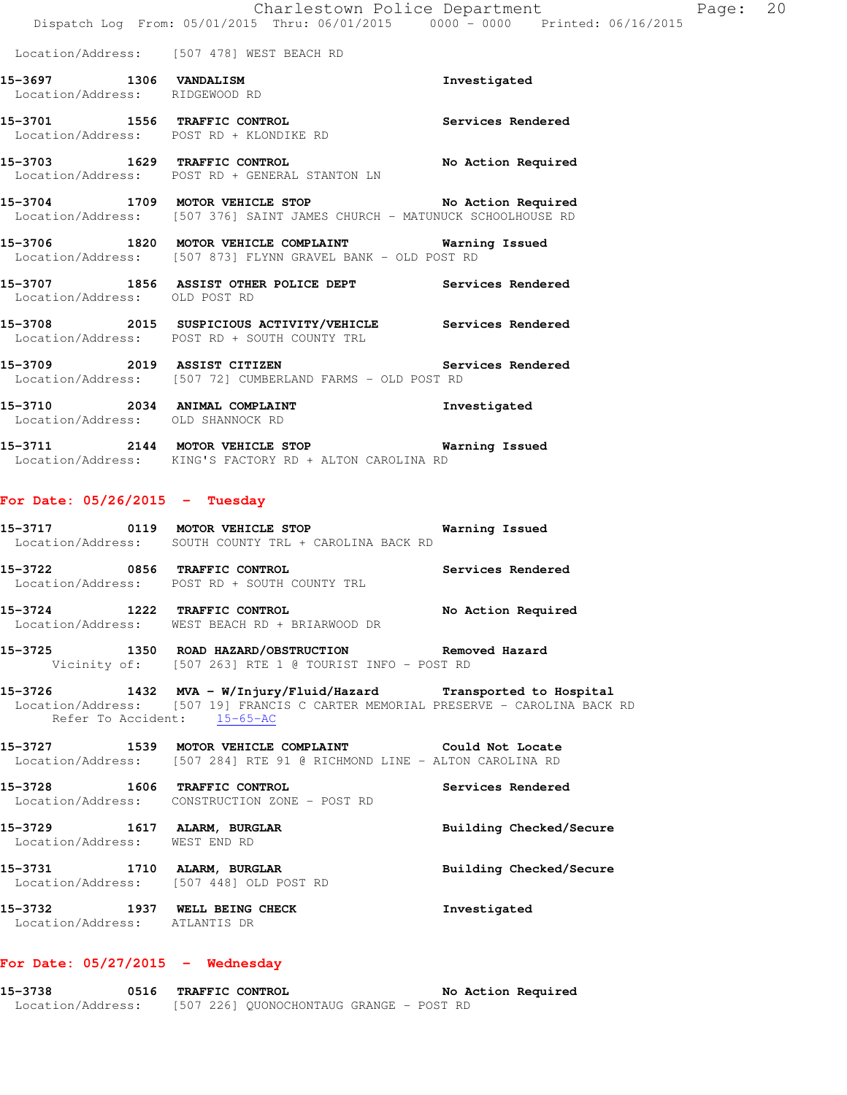Location/Address: [507 478] WEST BEACH RD

| 15-3697           | 1306 VANDALISM | Investigated |
|-------------------|----------------|--------------|
| Location/Address: | RIDGEWOOD RD   |              |

**15-3701 1556 TRAFFIC CONTROL Services Rendered**  Location/Address: POST RD + KLONDIKE RD

**15-3703 1629 TRAFFIC CONTROL No Action Required**  Location/Address: POST RD + GENERAL STANTON LN

**15-3704 1709 MOTOR VEHICLE STOP No Action Required**  Location/Address: [507 376] SAINT JAMES CHURCH - MATUNUCK SCHOOLHOUSE RD

**15-3706 1820 MOTOR VEHICLE COMPLAINT Warning Issued**  Location/Address: [507 873] FLYNN GRAVEL BANK - OLD POST RD

**15-3707 1856 ASSIST OTHER POLICE DEPT Services Rendered**  Location/Address: OLD POST RD

**15-3708 2015 SUSPICIOUS ACTIVITY/VEHICLE Services Rendered**  Location/Address: POST RD + SOUTH COUNTY TRL

**15-3709 2019 ASSIST CITIZEN Services Rendered**  Location/Address: [507 72] CUMBERLAND FARMS - OLD POST RD

**15-3710 2034 ANIMAL COMPLAINT Investigated**  Location/Address: OLD SHANNOCK RD

**15-3711 2144 MOTOR VEHICLE STOP Warning Issued**  Location/Address: KING'S FACTORY RD + ALTON CAROLINA RD

### **For Date: 05/26/2015 - Tuesday**

**15-3717 0119 MOTOR VEHICLE STOP Warning Issued**  Location/Address: SOUTH COUNTY TRL + CAROLINA BACK RD

**15-3722 0856 TRAFFIC CONTROL Services Rendered**  Location/Address: POST RD + SOUTH COUNTY TRL

**15-3724 1222 TRAFFIC CONTROL No Action Required**  Location/Address: WEST BEACH RD + BRIARWOOD DR

**15-3725 1350 ROAD HAZARD/OBSTRUCTION Removed Hazard**  Vicinity of: [507 263] RTE 1 @ TOURIST INFO - POST RD

**15-3726 1432 MVA - W/Injury/Fluid/Hazard Transported to Hospital**  Location/Address: [507 19] FRANCIS C CARTER MEMORIAL PRESERVE - CAROLINA BACK RD Refer To Accident: 15-65-AC

**15-3727 1539 MOTOR VEHICLE COMPLAINT Could Not Locate**  Location/Address: [507 284] RTE 91 @ RICHMOND LINE - ALTON CAROLINA RD

**15-3728 1606 TRAFFIC CONTROL Services Rendered**  Location/Address: CONSTRUCTION ZONE - POST RD

**15-3729 1617 ALARM, BURGLAR Building Checked/Secure**  Location/Address: WEST END RD

**15-3731 1710 ALARM, BURGLAR Building Checked/Secure**  Location/Address: [507 448] OLD POST RD

**15-3732 1937 WELL BEING CHECK Investigated**  Location/Address: ATLANTIS DR

# **For Date: 05/27/2015 - Wednesday**

**15-3738 0516 TRAFFIC CONTROL No Action Required**  Location/Address: [507 226] QUONOCHONTAUG GRANGE - POST RD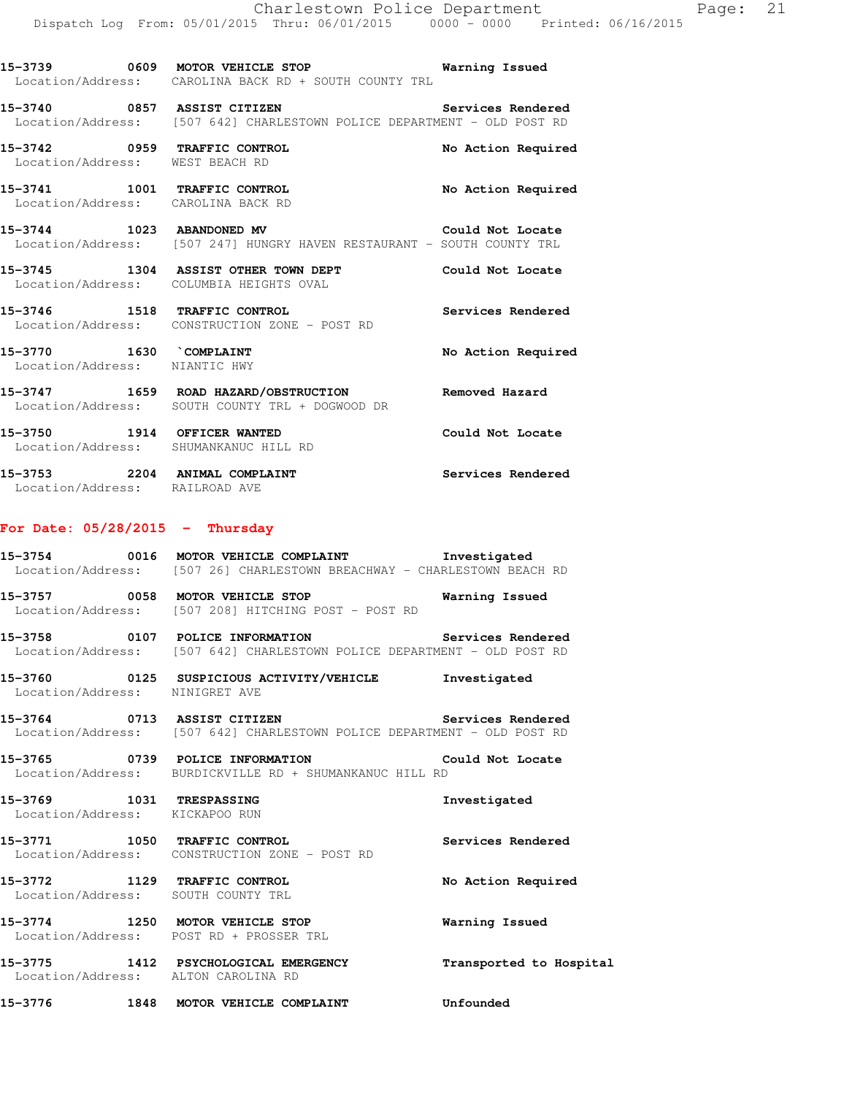| 15–3739 | 0609 | MOTOR VEHICLE STOP<br>Warning Issued<br>Location/Address: CAROLINA BACK RD + SOUTH COUNTY TRL |  |
|---------|------|-----------------------------------------------------------------------------------------------|--|
| 15-3740 | 0857 | ASSIST CITIZEN<br>Services Rendered                                                           |  |
|         |      | Location/Address: [507 642] CHARLESTOWN POLICE DEPARTMENT - OLD POST RD                       |  |

**15-3742 0959 TRAFFIC CONTROL No Action Required**  Location/Address: WEST BEACH RD **15-3741 1001 TRAFFIC CONTROL No Action Required**  Location/Address: CAROLINA BACK RD **15-3744 1023 ABANDONED MV Could Not Locate**  Location/Address: [507 247] HUNGRY HAVEN RESTAURANT - SOUTH COUNTY TRL

**15-3745 1304 ASSIST OTHER TOWN DEPT Could Not Locate**  Location/Address: COLUMBIA HEIGHTS OVAL **15-3746 1518 TRAFFIC CONTROL Services Rendered** 

Location/Address: CONSTRUCTION ZONE - POST RD

15-3770 1630 COMPLAINT **15-3770** No Action Required Location/Address: NIANTIC HWY

**15-3747 1659 ROAD HAZARD/OBSTRUCTION Removed Hazard**  Location/Address: SOUTH COUNTY TRL + DOGWOOD DR

**15-3750 1914 OFFICER WANTED Could Not Locate**  Location/Address: SHUMANKANUC HILL RD

**15-3753 2204 ANIMAL COMPLAINT Services Rendered**  Location/Address: RAILROAD AVE

### **For Date: 05/28/2015 - Thursday**

**15-3754 0016 MOTOR VEHICLE COMPLAINT Investigated**  Location/Address: [507 26] CHARLESTOWN BREACHWAY - CHARLESTOWN BEACH RD

**15-3757 0058 MOTOR VEHICLE STOP Warning Issued**  Location/Address: [507 208] HITCHING POST - POST RD

**15-3758 0107 POLICE INFORMATION Services Rendered**  Location/Address: [507 642] CHARLESTOWN POLICE DEPARTMENT - OLD POST RD

**15-3760 0125 SUSPICIOUS ACTIVITY/VEHICLE Investigated**  Location/Address: NINIGRET AVE

**15-3764 0713 ASSIST CITIZEN Services Rendered**  Location/Address: [507 642] CHARLESTOWN POLICE DEPARTMENT - OLD POST RD

**15-3765 0739 POLICE INFORMATION Could Not Locate**  Location/Address: BURDICKVILLE RD + SHUMANKANUC HILL RD

**15-3769 1031 TRESPASSING Investigated**  Location/Address: KICKAPOO RUN

**15-3771 1050 TRAFFIC CONTROL Services Rendered**  Location/Address: CONSTRUCTION ZONE - POST RD

**15-3772 1129 TRAFFIC CONTROL No Action Required**  Location/Address: SOUTH COUNTY TRL

**15-3774 1250 MOTOR VEHICLE STOP Warning Issued**  Location/Address: POST RD + PROSSER TRL

**15-3775 1412 PSYCHOLOGICAL EMERGENCY Transported to Hospital**  Location/Address: ALTON CAROLINA RD

**15-3776 1848 MOTOR VEHICLE COMPLAINT Unfounded**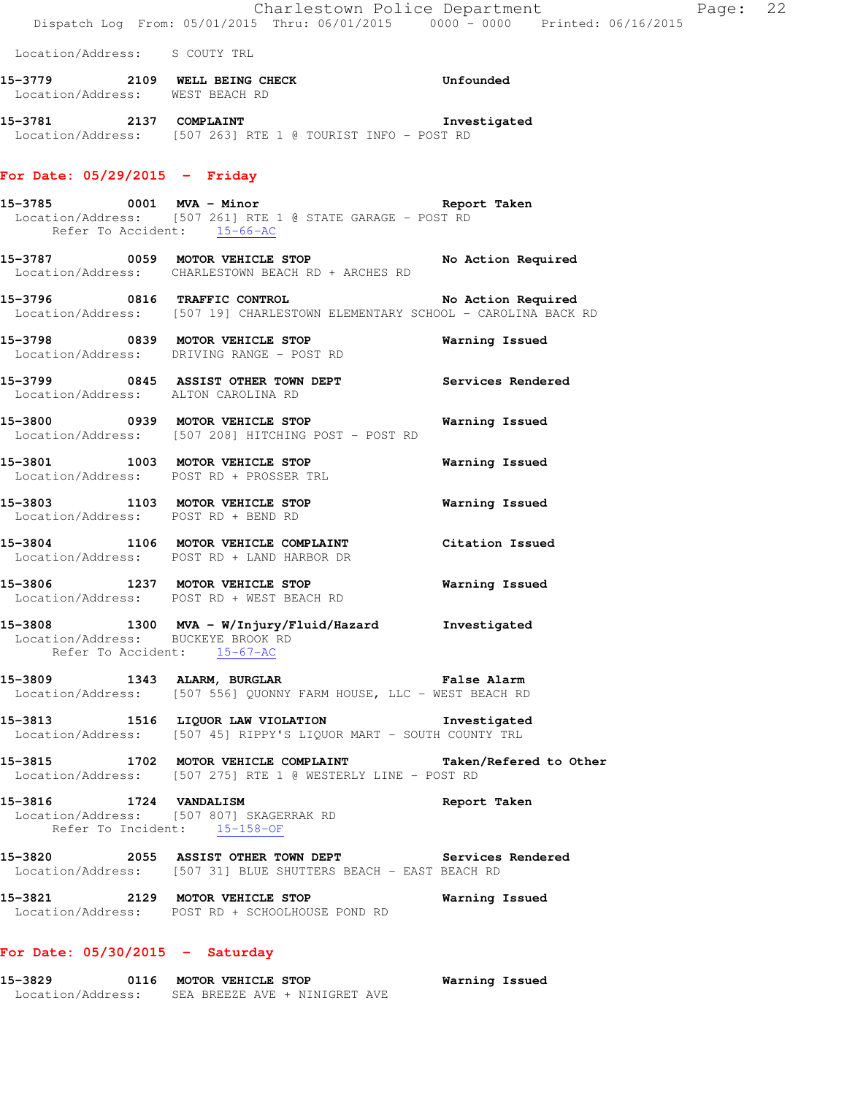|                                    |                                                                                                                     | Charlestown Police Department<br>Dispatch Log From: 05/01/2015 Thru: 06/01/2015 0000 - 0000 Printed: 06/16/2015                | Page: 22 |  |
|------------------------------------|---------------------------------------------------------------------------------------------------------------------|--------------------------------------------------------------------------------------------------------------------------------|----------|--|
| Location/Address: S COUTY TRL      |                                                                                                                     |                                                                                                                                |          |  |
| Location/Address: WEST BEACH RD    | 15-3779 2109 WELL BEING CHECK CHOON Unfounded                                                                       |                                                                                                                                |          |  |
|                                    | 15-3781 2137 COMPLAINT<br>Location/Address: [507 263] RTE 1 @ TOURIST INFO - POST RD                                | Investigated                                                                                                                   |          |  |
| For Date: $05/29/2015$ - Friday    |                                                                                                                     |                                                                                                                                |          |  |
| Refer To Accident: 15-66-AC        | 15-3785 0001 MVA - Minor<br>Location/Address: [507 261] RTE 1 @ STATE GARAGE - POST RD                              | Report Taken                                                                                                                   |          |  |
|                                    | Location/Address: CHARLESTOWN BEACH RD + ARCHES RD                                                                  | 15-3787 0059 MOTOR VEHICLE STOP No Action Required                                                                             |          |  |
|                                    |                                                                                                                     | 15-3796 0816 TRAFFIC CONTROL No Action Required<br>Location/Address: [507 19] CHARLESTOWN ELEMENTARY SCHOOL - CAROLINA BACK RD |          |  |
|                                    | 15-3798 0839 MOTOR VEHICLE STOP<br>Location/Address: DRIVING RANGE - POST RD                                        | Warning Issued                                                                                                                 |          |  |
|                                    | Location/Address: ALTON CAROLINA RD                                                                                 | 15-3799 6845 ASSIST OTHER TOWN DEPT Services Rendered                                                                          |          |  |
|                                    | 15-3800 0939 MOTOR VEHICLE STOP<br>Location/Address: [507 208] HITCHING POST - POST RD                              | Warning Issued                                                                                                                 |          |  |
|                                    | 15-3801 1003 MOTOR VEHICLE STOP<br>Location/Address: POST RD + PROSSER TRL                                          | Warning Issued                                                                                                                 |          |  |
|                                    | 15-3803 1103 MOTOR VEHICLE STOP<br>Location/Address: POST RD + BEND RD                                              | Warning Issued                                                                                                                 |          |  |
|                                    | Location/Address: POST RD + LAND HARBOR DR                                                                          | 15-3804 1106 MOTOR VEHICLE COMPLAINT Citation Issued                                                                           |          |  |
|                                    | 15-3806 1237 MOTOR VEHICLE STOP<br>Location/Address: POST RD + WEST BEACH RD                                        | <b>Warning Issued</b>                                                                                                          |          |  |
| Location/Address: BUCKEYE BROOK RD | 15-3808 1300 MVA - W/Injury/Fluid/Hazard Investigated<br>Refer To Accident: 15-67-AC                                |                                                                                                                                |          |  |
|                                    | 15-3809 1343 ALARM, BURGLAR 15 Palse Alarm<br>Location/Address: [507 556] QUONNY FARM HOUSE, LLC - WEST BEACH RD    |                                                                                                                                |          |  |
|                                    | 15-3813 1516 LIQUOR LAW VIOLATION Threstigated<br>Location/Address: [507 45] RIPPY'S LIQUOR MART - SOUTH COUNTY TRL |                                                                                                                                |          |  |
|                                    | Location/Address: [507 275] RTE 1 @ WESTERLY LINE - POST RD                                                         | 15-3815 1702 MOTOR VEHICLE COMPLAINT Taken/Refered to Other                                                                    |          |  |
| 15-3816 1724 VANDALISM             | Location/Address: [507 807] SKAGERRAK RD<br>Refer To Incident: 15-158-OF                                            | Report Taken                                                                                                                   |          |  |
|                                    | Location/Address: [507 31] BLUE SHUTTERS BEACH - EAST BEACH RD                                                      | 15-3820 2055 ASSIST OTHER TOWN DEPT Services Rendered                                                                          |          |  |
|                                    | 15-3821 2129 MOTOR VEHICLE STOP<br>Location/Address: POST RD + SCHOOLHOUSE POND RD                                  | Warning Issued                                                                                                                 |          |  |
| For Date: $05/30/2015$ - Saturday  |                                                                                                                     |                                                                                                                                |          |  |

**15-3829 0116 MOTOR VEHICLE STOP Warning Issued**  Location/Address: SEA BREEZE AVE + NINIGRET AVE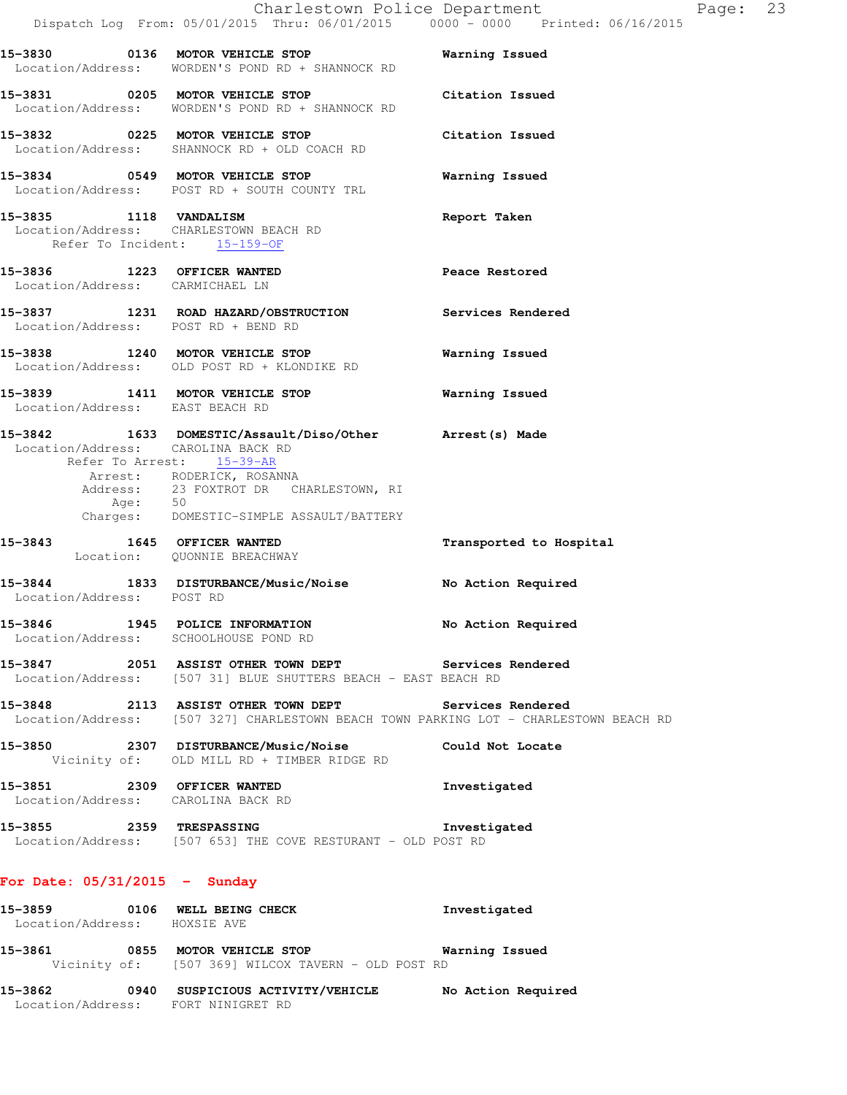|                                                                  | Dispatch Log From: 05/01/2015 Thru: 06/01/2015 0000 - 0000 Printed: 06/16/2015                                                                                                                          | Charlestown Police Department | Page: 23 |
|------------------------------------------------------------------|---------------------------------------------------------------------------------------------------------------------------------------------------------------------------------------------------------|-------------------------------|----------|
|                                                                  | 15-3830 0136 MOTOR VEHICLE STOP<br>Location/Address: WORDEN'S POND RD + SHANNOCK RD                                                                                                                     | Warning Issued                |          |
|                                                                  | 15-3831 0205 MOTOR VEHICLE STOP Citation Issued<br>Location/Address: WORDEN'S POND RD + SHANNOCK RD                                                                                                     |                               |          |
|                                                                  | 15-3832 0225 MOTOR VEHICLE STOP<br>Location/Address: SHANNOCK RD + OLD COACH RD                                                                                                                         | Citation Issued               |          |
|                                                                  | 15-3834 0549 MOTOR VEHICLE STOP<br>Location/Address: POST RD + SOUTH COUNTY TRL                                                                                                                         | Warning Issued                |          |
| 15-3835 1118 VANDALISM<br>Location/Address: CHARLESTOWN BEACH RD | Refer To Incident: 15-159-OF                                                                                                                                                                            | Report Taken                  |          |
| 15-3836 1223 OFFICER WANTED<br>Location/Address: CARMICHAEL LN   |                                                                                                                                                                                                         | Peace Restored                |          |
| Location/Address: POST RD + BEND RD                              | 15-3837 1231 ROAD HAZARD/OBSTRUCTION Services Rendered                                                                                                                                                  |                               |          |
|                                                                  | 15-3838 1240 MOTOR VEHICLE STOP<br>Location/Address: OLD POST RD + KLONDIKE RD                                                                                                                          | Warning Issued                |          |
| Location/Address: EAST BEACH RD                                  | 15-3839 1411 MOTOR VEHICLE STOP                                                                                                                                                                         | Warning Issued                |          |
| Location/Address: CAROLINA BACK RD<br>Age: 50                    | 15-3842 1633 DOMESTIC/Assault/Diso/Other Arrest(s) Made<br>Refer To Arrest: 15-39-AR<br>Arrest: RODERICK, ROSANNA<br>Address: 23 FOXTROT DR CHARLESTOWN, RI<br>Charges: DOMESTIC-SIMPLE ASSAULT/BATTERY |                               |          |
| 15-3843 1645 OFFICER WANTED                                      | Location: QUONNIE BREACHWAY                                                                                                                                                                             | Transported to Hospital       |          |
| Location/Address: POST RD                                        | 15-3844 1833 DISTURBANCE/Music/Noise                                                                                                                                                                    | No Action Required            |          |
| 15-3846                                                          | 1945 POLICE INFORMATION No Action Required<br>Location/Address: SCHOOLHOUSE POND RD                                                                                                                     |                               |          |
|                                                                  | 15-3847 2051 ASSIST OTHER TOWN DEPT Services Rendered<br>Location/Address: [507 31] BLUE SHUTTERS BEACH - EAST BEACH RD                                                                                 |                               |          |
|                                                                  | 15-3848 2113 ASSIST OTHER TOWN DEPT<br>Location/Address: [507 327] CHARLESTOWN BEACH TOWN PARKING LOT - CHARLESTOWN BEACH RD                                                                            | <b>Services Rendered</b>      |          |
|                                                                  | 15-3850 2307 DISTURBANCE/Music/Noise Could Not Locate<br>Vicinity of: OLD MILL RD + TIMBER RIDGE RD                                                                                                     |                               |          |
|                                                                  | 15-3851 2309 OFFICER WANTED<br>Location/Address: CAROLINA BACK RD                                                                                                                                       | Investigated                  |          |
|                                                                  | 15-3855 2359 TRESPASSING 2007 Investigated<br>Location/Address: [507 653] THE COVE RESTURANT - OLD POST RD                                                                                              |                               |          |
| For Date: $05/31/2015$ - Sunday                                  |                                                                                                                                                                                                         |                               |          |
| Location/Address: HOXSIE AVE                                     | 15-3859 0106 WELL BEING CHECK                                                                                                                                                                           | Investigated                  |          |
|                                                                  | 15-3861 0855 MOTOR VEHICLE STOP 6 Warning Issued<br>Vicinity of: [507 369] WILCOX TAVERN - OLD POST RD                                                                                                  |                               |          |
| Location/Address: FORT NINIGRET RD                               | 15-3862 0940 SUSPICIOUS ACTIVITY/VEHICLE No Action Required                                                                                                                                             |                               |          |